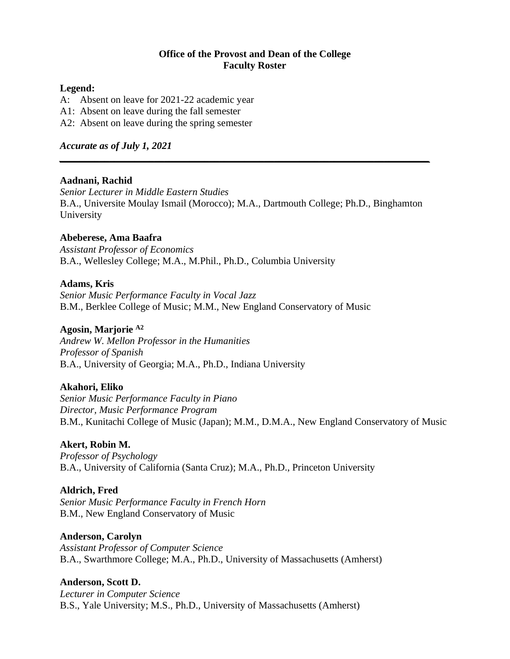#### **Office of the Provost and Dean of the College Faculty Roster**

#### **Legend:**

- A: Absent on leave for 2021-22 academic year
- A1: Absent on leave during the fall semester
- A2: Absent on leave during the spring semester

#### *Accurate as of July 1, 2021*

#### **Aadnani, Rachid**

*Senior Lecturer in Middle Eastern Studies*  B.A., Universite Moulay Ismail (Morocco); M.A., Dartmouth College; Ph.D., Binghamton University

*\_\_\_\_\_\_\_\_\_\_\_\_\_\_\_\_\_\_\_\_\_\_\_\_\_\_\_\_\_\_\_\_\_\_\_\_\_\_\_\_\_\_\_\_\_\_\_\_\_\_\_\_\_\_\_\_\_\_\_\_\_\_\_\_\_\_\_\_\_\_\_\_\_\_*

#### **Abeberese, Ama Baafra**

*Assistant Professor of Economics* B.A., Wellesley College; M.A., M.Phil., Ph.D., Columbia University

#### **Adams, Kris**

*Senior Music Performance Faculty in Vocal Jazz* B.M., Berklee College of Music; M.M., New England Conservatory of Music

#### **Agosin, Marjorie A2**

*Andrew W. Mellon Professor in the Humanities Professor of Spanish* B.A., University of Georgia; M.A., Ph.D., Indiana University

#### **Akahori, Eliko**

*Senior Music Performance Faculty in Piano Director, Music Performance Program* B.M., Kunitachi College of Music (Japan); M.M., D.M.A., New England Conservatory of Music

#### **Akert, Robin M.**

*Professor of Psychology* B.A., University of California (Santa Cruz); M.A., Ph.D., Princeton University

#### **Aldrich, Fred**

*Senior Music Performance Faculty in French Horn* B.M., New England Conservatory of Music

#### **Anderson, Carolyn**

*Assistant Professor of Computer Science* B.A., Swarthmore College; M.A., Ph.D., University of Massachusetts (Amherst)

#### **Anderson, Scott D.**

*Lecturer in Computer Science* B.S., Yale University; M.S., Ph.D., University of Massachusetts (Amherst)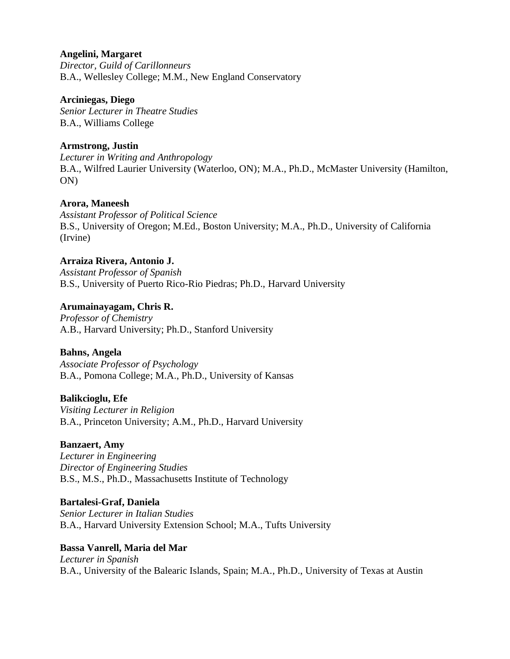### **Angelini, Margaret**

*Director, Guild of Carillonneurs* B.A., Wellesley College; M.M., New England Conservatory

#### **Arciniegas, Diego**

*Senior Lecturer in Theatre Studies* B.A., Williams College

# **Armstrong, Justin**

*Lecturer in Writing and Anthropology* B.A., Wilfred Laurier University (Waterloo, ON); M.A., Ph.D., McMaster University (Hamilton, ON)

# **Arora, Maneesh**

*Assistant Professor of Political Science* B.S., University of Oregon; M.Ed., Boston University; M.A., Ph.D., University of California (Irvine)

# **Arraiza Rivera, Antonio J.**

*Assistant Professor of Spanish* B.S., University of Puerto Rico-Rio Piedras; Ph.D., Harvard University

# **Arumainayagam, Chris R.**

*Professor of Chemistry* A.B., Harvard University; Ph.D., Stanford University

# **Bahns, Angela**

*Associate Professor of Psychology* B.A., Pomona College; M.A., Ph.D., University of Kansas

# **Balikcioglu, Efe**

*Visiting Lecturer in Religion* B.A., Princeton University; A.M., Ph.D., Harvard University

# **Banzaert, Amy**

*Lecturer in Engineering Director of Engineering Studies* B.S., M.S., Ph.D., Massachusetts Institute of Technology

# **Bartalesi-Graf, Daniela**

*Senior Lecturer in Italian Studies* B.A., Harvard University Extension School; M.A., Tufts University

# **Bassa Vanrell, Maria del Mar**

*Lecturer in Spanish* B.A., University of the Balearic Islands, Spain; M.A., Ph.D., University of Texas at Austin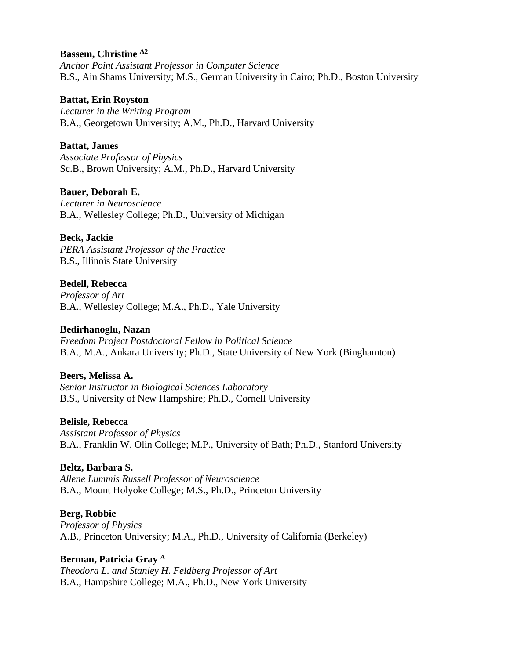### **Bassem, Christine A2**

*Anchor Point Assistant Professor in Computer Science* B.S., Ain Shams University; M.S., German University in Cairo; Ph.D., Boston University

### **Battat, Erin Royston**

*Lecturer in the Writing Program* B.A., Georgetown University; A.M., Ph.D., Harvard University

# **Battat, James**

*Associate Professor of Physics* Sc.B., Brown University; A.M., Ph.D., Harvard University

# **Bauer, Deborah E.**

*Lecturer in Neuroscience* B.A., Wellesley College; Ph.D., University of Michigan

# **Beck, Jackie**

*PERA Assistant Professor of the Practice* B.S., Illinois State University

# **Bedell, Rebecca**

*Professor of Art* B.A., Wellesley College; M.A., Ph.D., Yale University

# **Bedirhanoglu, Nazan**

*Freedom Project Postdoctoral Fellow in Political Science* B.A., M.A., Ankara University; Ph.D., State University of New York (Binghamton)

# **Beers, Melissa A.**

*Senior Instructor in Biological Sciences Laboratory* B.S., University of New Hampshire; Ph.D., Cornell University

# **Belisle, Rebecca**

*Assistant Professor of Physics* B.A., Franklin W. Olin College; M.P., University of Bath; Ph.D., Stanford University

# **Beltz, Barbara S.**

*Allene Lummis Russell Professor of Neuroscience* B.A., Mount Holyoke College; M.S., Ph.D., Princeton University

# **Berg, Robbie**

*Professor of Physics* A.B., Princeton University; M.A., Ph.D., University of California (Berkeley)

# **Berman, Patricia Gray <sup>A</sup>**

*Theodora L. and Stanley H. Feldberg Professor of Art* B.A., Hampshire College; M.A., Ph.D., New York University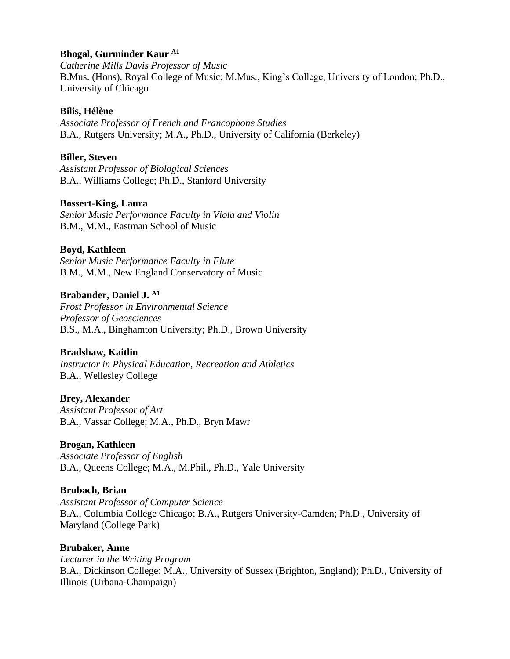### **Bhogal, Gurminder Kaur A1**

*Catherine Mills Davis Professor of Music* B.Mus. (Hons), Royal College of Music; M.Mus., King's College, University of London; Ph.D., University of Chicago

### **Bilis, Hélène**

*Associate Professor of French and Francophone Studies* B.A., Rutgers University; M.A., Ph.D., University of California (Berkeley)

### **Biller, Steven**

*Assistant Professor of Biological Sciences* B.A., Williams College; Ph.D., Stanford University

### **Bossert-King, Laura**

*Senior Music Performance Faculty in Viola and Violin* B.M., M.M., Eastman School of Music

### **Boyd, Kathleen**

*Senior Music Performance Faculty in Flute* B.M., M.M., New England Conservatory of Music

### **Brabander, Daniel J. A1**

*Frost Professor in Environmental Science Professor of Geosciences* B.S., M.A., Binghamton University; Ph.D., Brown University

# **Bradshaw, Kaitlin**

*Instructor in Physical Education, Recreation and Athletics* B.A., Wellesley College

#### **Brey, Alexander**

*Assistant Professor of Art* B.A., Vassar College; M.A., Ph.D., Bryn Mawr

# **Brogan, Kathleen**

*Associate Professor of English* B.A., Queens College; M.A., M.Phil., Ph.D., Yale University

#### **Brubach, Brian**

*Assistant Professor of Computer Science* B.A., Columbia College Chicago; B.A., Rutgers University-Camden; Ph.D., University of Maryland (College Park)

#### **Brubaker, Anne**

*Lecturer in the Writing Program* B.A., Dickinson College; M.A., University of Sussex (Brighton, England); Ph.D., University of Illinois (Urbana-Champaign)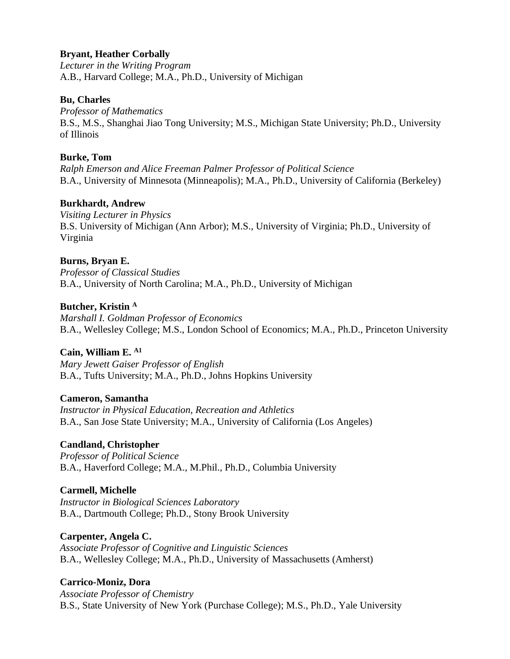### **Bryant, Heather Corbally**

*Lecturer in the Writing Program* A.B., Harvard College; M.A., Ph.D., University of Michigan

#### **Bu, Charles**

*Professor of Mathematics* B.S., M.S., Shanghai Jiao Tong University; M.S., Michigan State University; Ph.D., University of Illinois

### **Burke, Tom**

*Ralph Emerson and Alice Freeman Palmer Professor of Political Science* B.A., University of Minnesota (Minneapolis); M.A., Ph.D., University of California (Berkeley)

### **Burkhardt, Andrew**

*Visiting Lecturer in Physics* B.S. University of Michigan (Ann Arbor); M.S., University of Virginia; Ph.D., University of Virginia

# **Burns, Bryan E.**

*Professor of Classical Studies* B.A., University of North Carolina; M.A., Ph.D., University of Michigan

### **Butcher, Kristin <sup>A</sup>**

*Marshall I. Goldman Professor of Economics* B.A., Wellesley College; M.S., London School of Economics; M.A., Ph.D., Princeton University

# **Cain, William E. A1**

*Mary Jewett Gaiser Professor of English* B.A., Tufts University; M.A., Ph.D., Johns Hopkins University

#### **Cameron, Samantha**

*Instructor in Physical Education, Recreation and Athletics* B.A., San Jose State University; M.A., University of California (Los Angeles)

# **Candland, Christopher**

*Professor of Political Science* B.A., Haverford College; M.A., M.Phil., Ph.D., Columbia University

# **Carmell, Michelle**

*Instructor in Biological Sciences Laboratory* B.A., Dartmouth College; Ph.D., Stony Brook University

#### **Carpenter, Angela C.**

*Associate Professor of Cognitive and Linguistic Sciences* B.A., Wellesley College; M.A., Ph.D., University of Massachusetts (Amherst)

# **Carrico-Moniz, Dora**

*Associate Professor of Chemistry* B.S., State University of New York (Purchase College); M.S., Ph.D., Yale University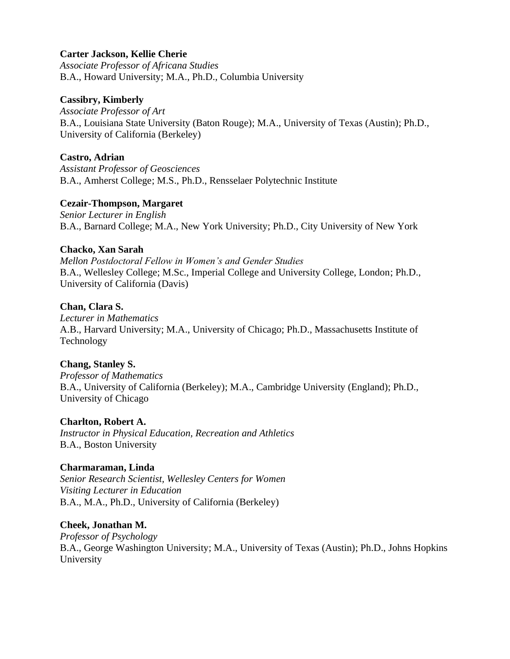### **Carter Jackson, Kellie Cherie**

*Associate Professor of Africana Studies* B.A., Howard University; M.A., Ph.D., Columbia University

#### **Cassibry, Kimberly**

*Associate Professor of Art* B.A., Louisiana State University (Baton Rouge); M.A., University of Texas (Austin); Ph.D., University of California (Berkeley)

### **Castro, Adrian**

*Assistant Professor of Geosciences* B.A., Amherst College; M.S., Ph.D., Rensselaer Polytechnic Institute

### **Cezair-Thompson, Margaret**

*Senior Lecturer in English* B.A., Barnard College; M.A., New York University; Ph.D., City University of New York

### **Chacko, Xan Sarah**

*Mellon Postdoctoral Fellow in Women's and Gender Studies* B.A., Wellesley College; M.Sc., Imperial College and University College, London; Ph.D., University of California (Davis)

### **Chan, Clara S.**

*Lecturer in Mathematics* A.B., Harvard University; M.A., University of Chicago; Ph.D., Massachusetts Institute of Technology

# **Chang, Stanley S.**

*Professor of Mathematics* B.A., University of California (Berkeley); M.A., Cambridge University (England); Ph.D., University of Chicago

# **Charlton, Robert A.**

*Instructor in Physical Education, Recreation and Athletics* B.A., Boston University

#### **Charmaraman, Linda**

*Senior Research Scientist, Wellesley Centers for Women Visiting Lecturer in Education* B.A., M.A., Ph.D., University of California (Berkeley)

#### **Cheek, Jonathan M.**

*Professor of Psychology* B.A., George Washington University; M.A., University of Texas (Austin); Ph.D., Johns Hopkins University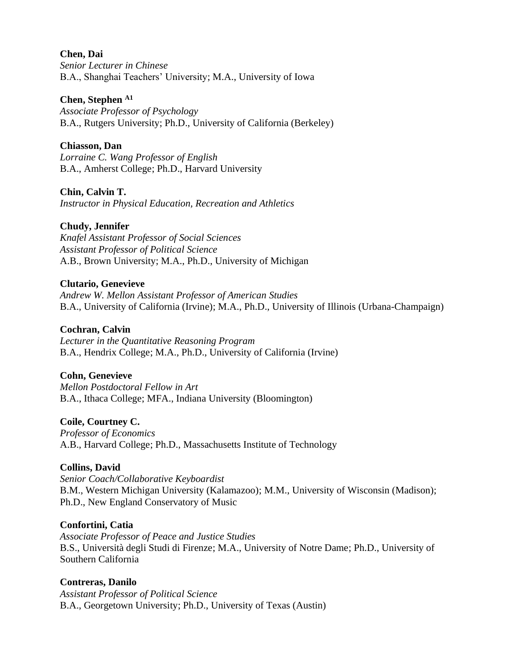#### **Chen, Dai**

*Senior Lecturer in Chinese*  B.A., Shanghai Teachers' University; M.A., University of Iowa

#### **Chen, Stephen A1**

*Associate Professor of Psychology* B.A., Rutgers University; Ph.D., University of California (Berkeley)

### **Chiasson, Dan**

*Lorraine C. Wang Professor of English* B.A., Amherst College; Ph.D., Harvard University

### **Chin, Calvin T.**

*Instructor in Physical Education, Recreation and Athletics*

### **Chudy, Jennifer**

*Knafel Assistant Professor of Social Sciences Assistant Professor of Political Science* A.B., Brown University; M.A., Ph.D., University of Michigan

#### **Clutario, Genevieve**

*Andrew W. Mellon Assistant Professor of American Studies*  B.A., University of California (Irvine); M.A., Ph.D., University of Illinois (Urbana-Champaign)

#### **Cochran, Calvin**

*Lecturer in the Quantitative Reasoning Program* B.A., Hendrix College; M.A., Ph.D., University of California (Irvine)

#### **Cohn, Genevieve**

*Mellon Postdoctoral Fellow in Art* B.A., Ithaca College; MFA., Indiana University (Bloomington)

#### **Coile, Courtney C.**

*Professor of Economics* A.B., Harvard College; Ph.D., Massachusetts Institute of Technology

#### **Collins, David**

*Senior Coach/Collaborative Keyboardist* B.M., Western Michigan University (Kalamazoo); M.M., University of Wisconsin (Madison); Ph.D., New England Conservatory of Music

#### **Confortini, Catia**

*Associate Professor of Peace and Justice Studies* B.S., Università degli Studi di Firenze; M.A., University of Notre Dame; Ph.D., University of Southern California

#### **Contreras, Danilo**

*Assistant Professor of Political Science* B.A., Georgetown University; Ph.D., University of Texas (Austin)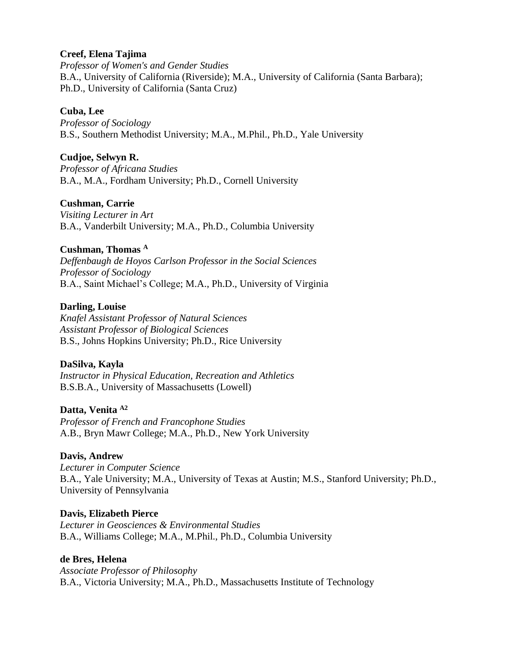### **Creef, Elena Tajima**

*Professor of Women's and Gender Studies* B.A., University of California (Riverside); M.A., University of California (Santa Barbara); Ph.D., University of California (Santa Cruz)

### **Cuba, Lee**

*Professor of Sociology* B.S., Southern Methodist University; M.A., M.Phil., Ph.D., Yale University

### **Cudjoe, Selwyn R.**

*Professor of Africana Studies* B.A., M.A., Fordham University; Ph.D., Cornell University

### **Cushman, Carrie**

*Visiting Lecturer in Art* B.A., Vanderbilt University; M.A., Ph.D., Columbia University

### **Cushman, Thomas <sup>A</sup>**

*Deffenbaugh de Hoyos Carlson Professor in the Social Sciences Professor of Sociology* B.A., Saint Michael's College; M.A., Ph.D., University of Virginia

### **Darling, Louise**

*Knafel Assistant Professor of Natural Sciences Assistant Professor of Biological Sciences* B.S., Johns Hopkins University; Ph.D., Rice University

#### **DaSilva, Kayla**

*Instructor in Physical Education, Recreation and Athletics* B.S.B.A., University of Massachusetts (Lowell)

#### **Datta, Venita A2**

*Professor of French and Francophone Studies* A.B., Bryn Mawr College; M.A., Ph.D., New York University

#### **Davis, Andrew**

*Lecturer in Computer Science* B.A., Yale University; M.A., University of Texas at Austin; M.S., Stanford University; Ph.D., University of Pennsylvania

#### **Davis, Elizabeth Pierce**

*Lecturer in Geosciences & Environmental Studies* B.A., Williams College; M.A., M.Phil., Ph.D., Columbia University

#### **de Bres, Helena**

*Associate Professor of Philosophy* B.A., Victoria University; M.A., Ph.D., Massachusetts Institute of Technology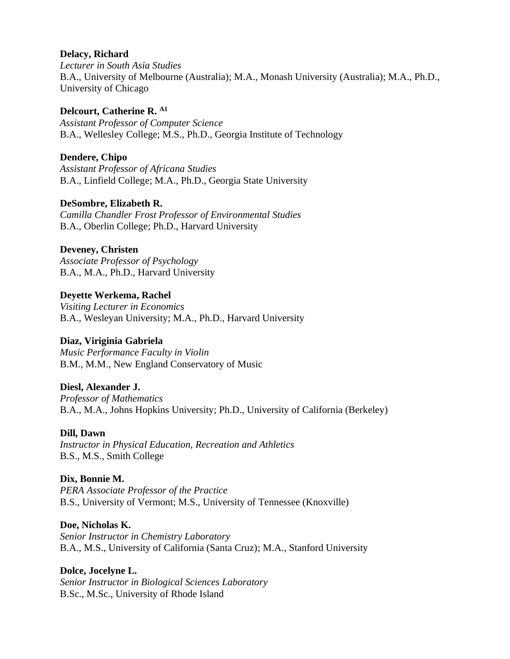### **Delacy, Richard**

*Lecturer in South Asia Studies* B.A., University of Melbourne (Australia); M.A., Monash University (Australia); M.A., Ph.D., University of Chicago

**Delcourt, Catherine R. A1** *Assistant Professor of Computer Science* B.A., Wellesley College; M.S., Ph.D., Georgia Institute of Technology

### **Dendere, Chipo**

*Assistant Professor of Africana Studies* B.A., Linfield College; M.A., Ph.D., Georgia State University

### **DeSombre, Elizabeth R.**

*Camilla Chandler Frost Professor of Environmental Studies* B.A., Oberlin College; Ph.D., Harvard University

### **Deveney, Christen**

*Associate Professor of Psychology* B.A., M.A., Ph.D., Harvard University

# **Deyette Werkema, Rachel**

*Visiting Lecturer in Economics* B.A., Wesleyan University; M.A., Ph.D., Harvard University

# **Diaz, Viriginia Gabriela**

*Music Performance Faculty in Violin* B.M., M.M., New England Conservatory of Music

# **Diesl, Alexander J.**

*Professor of Mathematics* B.A., M.A., Johns Hopkins University; Ph.D., University of California (Berkeley)

#### **Dill, Dawn**

*Instructor in Physical Education, Recreation and Athletics* B.S., M.S., Smith College

#### **Dix, Bonnie M.**

*PERA Associate Professor of the Practice* B.S., University of Vermont; M.S., University of Tennessee (Knoxville)

#### **Doe, Nicholas K.**

*Senior Instructor in Chemistry Laboratory* B.A., M.S., University of California (Santa Cruz); M.A., Stanford University

# **Dolce, Jocelyne L.**

*Senior Instructor in Biological Sciences Laboratory* B.Sc., M.Sc., University of Rhode Island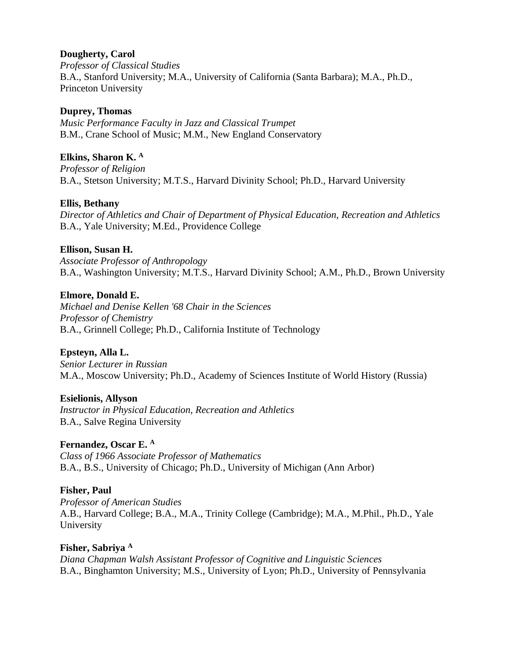# **Dougherty, Carol**

*Professor of Classical Studies* B.A., Stanford University; M.A., University of California (Santa Barbara); M.A., Ph.D., Princeton University

# **Duprey, Thomas**

*Music Performance Faculty in Jazz and Classical Trumpet* B.M., Crane School of Music; M.M., New England Conservatory

# **Elkins, Sharon K. <sup>A</sup>**

*Professor of Religion* B.A., Stetson University; M.T.S., Harvard Divinity School; Ph.D., Harvard University

# **Ellis, Bethany**

*Director of Athletics and Chair of Department of Physical Education, Recreation and Athletics* B.A., Yale University; M.Ed., Providence College

# **Ellison, Susan H.**

*Associate Professor of Anthropology* B.A., Washington University; M.T.S., Harvard Divinity School; A.M., Ph.D., Brown University

# **Elmore, Donald E.**

*Michael and Denise Kellen '68 Chair in the Sciences Professor of Chemistry* B.A., Grinnell College; Ph.D., California Institute of Technology

# **Epsteyn, Alla L.**

*Senior Lecturer in Russian*  M.A., Moscow University; Ph.D., Academy of Sciences Institute of World History (Russia)

# **Esielionis, Allyson**

*Instructor in Physical Education, Recreation and Athletics* B.A., Salve Regina University

# **Fernandez, Oscar E. <sup>A</sup>**

*Class of 1966 Associate Professor of Mathematics* B.A., B.S., University of Chicago; Ph.D., University of Michigan (Ann Arbor)

# **Fisher, Paul**

*Professor of American Studies* A.B., Harvard College; B.A., M.A., Trinity College (Cambridge); M.A., M.Phil., Ph.D., Yale University

# **Fisher, Sabriya <sup>A</sup>** *Diana Chapman Walsh Assistant Professor of Cognitive and Linguistic Sciences* B.A., Binghamton University; M.S., University of Lyon; Ph.D., University of Pennsylvania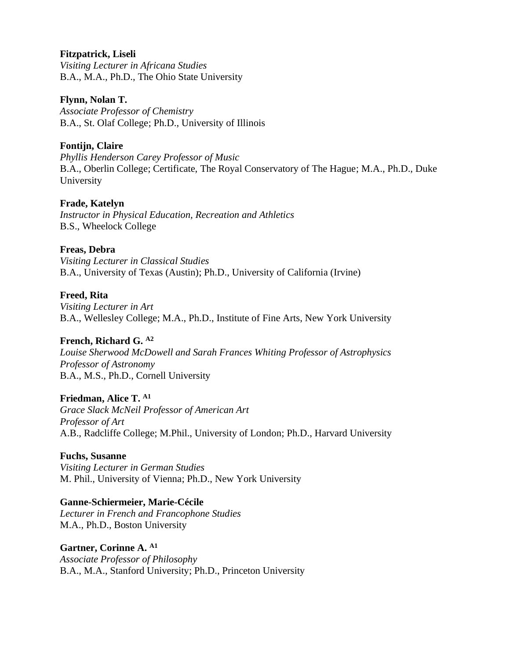### **Fitzpatrick, Liseli**

*Visiting Lecturer in Africana Studies* B.A., M.A., Ph.D., The Ohio State University

#### **Flynn, Nolan T.**

*Associate Professor of Chemistry* B.A., St. Olaf College; Ph.D., University of Illinois

# **Fontijn, Claire**

*Phyllis Henderson Carey Professor of Music* B.A., Oberlin College; Certificate, The Royal Conservatory of The Hague; M.A., Ph.D., Duke University

### **Frade, Katelyn**

*Instructor in Physical Education, Recreation and Athletics* B.S., Wheelock College

### **Freas, Debra**

*Visiting Lecturer in Classical Studies* B.A., University of Texas (Austin); Ph.D., University of California (Irvine)

### **Freed, Rita**

*Visiting Lecturer in Art* B.A., Wellesley College; M.A., Ph.D., Institute of Fine Arts, New York University

# **French, Richard G. A2**

*Louise Sherwood McDowell and Sarah Frances Whiting Professor of Astrophysics Professor of Astronomy* B.A., M.S., Ph.D., Cornell University

#### **Friedman, Alice T. A1**

*Grace Slack McNeil Professor of American Art Professor of Art* A.B., Radcliffe College; M.Phil., University of London; Ph.D., Harvard University

#### **Fuchs, Susanne**

*Visiting Lecturer in German Studies* M. Phil., University of Vienna; Ph.D., New York University

#### **Ganne-Schiermeier, Marie-Cécile**

*Lecturer in French and Francophone Studies* M.A., Ph.D., Boston University

#### **Gartner, Corinne A. A1**

*Associate Professor of Philosophy* B.A., M.A., Stanford University; Ph.D., Princeton University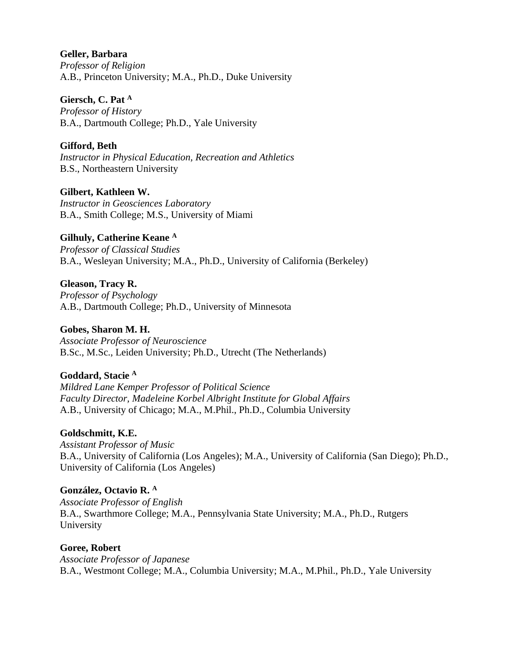### **Geller, Barbara**

*Professor of Religion* A.B., Princeton University; M.A., Ph.D., Duke University

### **Giersch, C. Pat <sup>A</sup>**

*Professor of History* B.A., Dartmouth College; Ph.D., Yale University

# **Gifford, Beth**

*Instructor in Physical Education, Recreation and Athletics* B.S., Northeastern University

# **Gilbert, Kathleen W.**

*Instructor in Geosciences Laboratory* B.A., Smith College; M.S., University of Miami

# **Gilhuly, Catherine Keane <sup>A</sup>**

*Professor of Classical Studies* B.A., Wesleyan University; M.A., Ph.D., University of California (Berkeley)

#### **Gleason, Tracy R.** *Professor of Psychology* A.B., Dartmouth College; Ph.D., University of Minnesota

**Gobes, Sharon M. H.** *Associate Professor of Neuroscience* B.Sc., M.Sc., Leiden University; Ph.D., Utrecht (The Netherlands)

# **Goddard, Stacie <sup>A</sup>**

*Mildred Lane Kemper Professor of Political Science Faculty Director, Madeleine Korbel Albright Institute for Global Affairs* A.B., University of Chicago; M.A., M.Phil., Ph.D., Columbia University

# **Goldschmitt, K.E.**

*Assistant Professor of Music* B.A., University of California (Los Angeles); M.A., University of California (San Diego); Ph.D., University of California (Los Angeles)

# **González, Octavio R. <sup>A</sup>**

*Associate Professor of English* B.A., Swarthmore College; M.A., Pennsylvania State University; M.A., Ph.D., Rutgers University

# **Goree, Robert**

*Associate Professor of Japanese* B.A., Westmont College; M.A., Columbia University; M.A., M.Phil., Ph.D., Yale University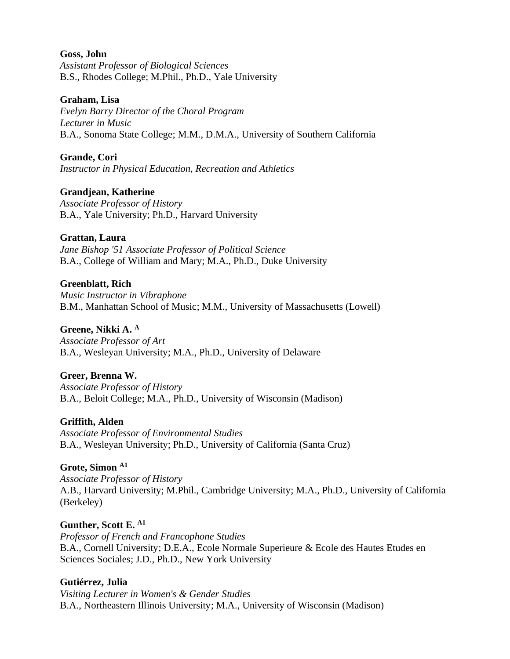#### **Goss, John**

*Assistant Professor of Biological Sciences* B.S., Rhodes College; M.Phil., Ph.D., Yale University

#### **Graham, Lisa**

*Evelyn Barry Director of the Choral Program Lecturer in Music* B.A., Sonoma State College; M.M., D.M.A., University of Southern California

### **Grande, Cori**

*Instructor in Physical Education, Recreation and Athletics*

# **Grandjean, Katherine**

*Associate Professor of History* B.A., Yale University; Ph.D., Harvard University

# **Grattan, Laura**

*Jane Bishop '51 Associate Professor of Political Science* B.A., College of William and Mary; M.A., Ph.D., Duke University

### **Greenblatt, Rich**

*Music Instructor in Vibraphone* B.M., Manhattan School of Music; M.M., University of Massachusetts (Lowell)

### **Greene, Nikki A. <sup>A</sup>**

*Associate Professor of Art* B.A., Wesleyan University; M.A., Ph.D., University of Delaware

# **Greer, Brenna W.**

*Associate Professor of History* B.A., Beloit College; M.A., Ph.D., University of Wisconsin (Madison)

# **Griffith, Alden**

*Associate Professor of Environmental Studies* B.A., Wesleyan University; Ph.D., University of California (Santa Cruz)

# **Grote, Simon A1**

*Associate Professor of History* A.B., Harvard University; M.Phil., Cambridge University; M.A., Ph.D., University of California (Berkeley)

# **Gunther, Scott E. A1**

*Professor of French and Francophone Studies* B.A., Cornell University; D.E.A., Ecole Normale Superieure & Ecole des Hautes Etudes en Sciences Sociales; J.D., Ph.D., New York University

# **Gutiérrez, Julia**

*Visiting Lecturer in Women's & Gender Studies* B.A., Northeastern Illinois University; M.A., University of Wisconsin (Madison)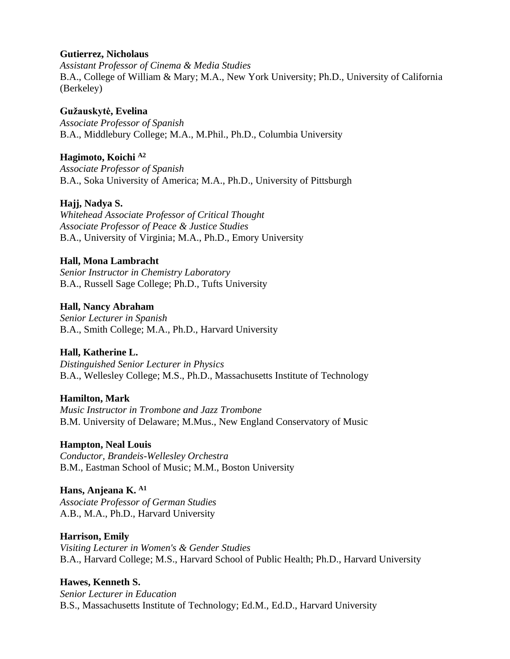#### **Gutierrez, Nicholaus**

*Assistant Professor of Cinema & Media Studies*  B.A., College of William & Mary; M.A., New York University; Ph.D., University of California (Berkeley)

#### **Gužauskytė, Evelina** *Associate Professor of Spanish* B.A., Middlebury College; M.A., M.Phil., Ph.D., Columbia University

**Hagimoto, Koichi A2** *Associate Professor of Spanish* B.A., Soka University of America; M.A., Ph.D., University of Pittsburgh

# **Hajj, Nadya S.**

*Whitehead Associate Professor of Critical Thought Associate Professor of Peace & Justice Studies* B.A., University of Virginia; M.A., Ph.D., Emory University

# **Hall, Mona Lambracht**

*Senior Instructor in Chemistry Laboratory* B.A., Russell Sage College; Ph.D., Tufts University

# **Hall, Nancy Abraham**

*Senior Lecturer in Spanish* B.A., Smith College; M.A., Ph.D., Harvard University

# **Hall, Katherine L.**

*Distinguished Senior Lecturer in Physics*  B.A., Wellesley College; M.S., Ph.D., Massachusetts Institute of Technology

# **Hamilton, Mark**

*Music Instructor in Trombone and Jazz Trombone* B.M. University of Delaware; M.Mus., New England Conservatory of Music

# **Hampton, Neal Louis**

*Conductor, Brandeis-Wellesley Orchestra* B.M., Eastman School of Music; M.M., Boston University

# **Hans, Anjeana K. A1**

*Associate Professor of German Studies* A.B., M.A., Ph.D., Harvard University

# **Harrison, Emily**

*Visiting Lecturer in Women's & Gender Studies* B.A., Harvard College; M.S., Harvard School of Public Health; Ph.D., Harvard University

# **Hawes, Kenneth S.**

*Senior Lecturer in Education* B.S., Massachusetts Institute of Technology; Ed.M., Ed.D., Harvard University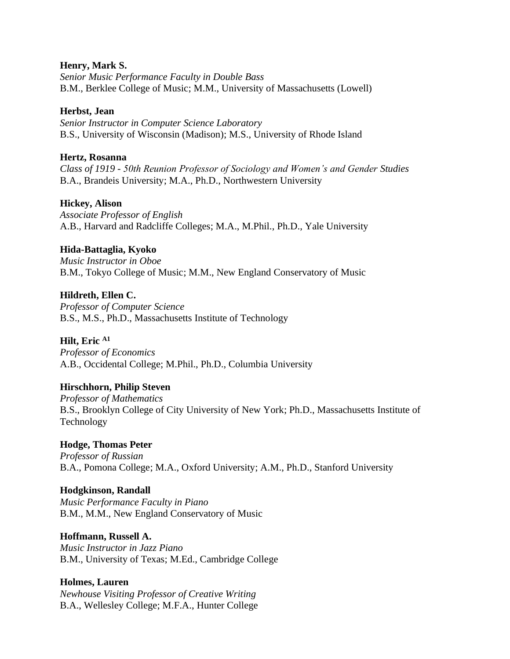#### **Henry, Mark S.**

*Senior Music Performance Faculty in Double Bass* B.M., Berklee College of Music; M.M., University of Massachusetts (Lowell)

#### **Herbst, Jean**

*Senior Instructor in Computer Science Laboratory* B.S., University of Wisconsin (Madison); M.S., University of Rhode Island

#### **Hertz, Rosanna**

*Class of 1919 - 50th Reunion Professor of Sociology and Women's and Gender Studies* B.A., Brandeis University; M.A., Ph.D., Northwestern University

#### **Hickey, Alison**

*Associate Professor of English* A.B., Harvard and Radcliffe Colleges; M.A., M.Phil., Ph.D., Yale University

#### **Hida-Battaglia, Kyoko**

*Music Instructor in Oboe* B.M., Tokyo College of Music; M.M., New England Conservatory of Music

#### **Hildreth, Ellen C.**

*Professor of Computer Science* B.S., M.S., Ph.D., Massachusetts Institute of Technology

#### **Hilt, Eric A1**

*Professor of Economics* A.B., Occidental College; M.Phil., Ph.D., Columbia University

#### **Hirschhorn, Philip Steven**

*Professor of Mathematics* B.S., Brooklyn College of City University of New York; Ph.D., Massachusetts Institute of Technology

#### **Hodge, Thomas Peter**

*Professor of Russian* B.A., Pomona College; M.A., Oxford University; A.M., Ph.D., Stanford University

#### **Hodgkinson, Randall**

*Music Performance Faculty in Piano* B.M., M.M., New England Conservatory of Music

#### **Hoffmann, Russell A.**

*Music Instructor in Jazz Piano* B.M., University of Texas; M.Ed., Cambridge College

#### **Holmes, Lauren**

*Newhouse Visiting Professor of Creative Writing* B.A., Wellesley College; M.F.A., Hunter College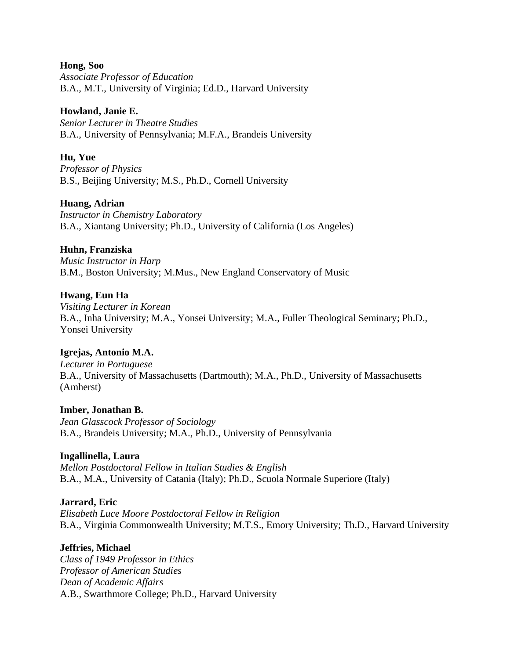#### **Hong, Soo**

*Associate Professor of Education* B.A., M.T., University of Virginia; Ed.D., Harvard University

### **Howland, Janie E.**

*Senior Lecturer in Theatre Studies*  B.A., University of Pennsylvania; M.F.A., Brandeis University

### **Hu, Yue**

*Professor of Physics* B.S., Beijing University; M.S., Ph.D., Cornell University

### **Huang, Adrian**

*Instructor in Chemistry Laboratory* B.A., Xiantang University; Ph.D., University of California (Los Angeles)

### **Huhn, Franziska**

*Music Instructor in Harp* B.M., Boston University; M.Mus., New England Conservatory of Music

### **Hwang, Eun Ha**

*Visiting Lecturer in Korean* B.A., Inha University; M.A., Yonsei University; M.A., Fuller Theological Seminary; Ph.D., Yonsei University

# **Igrejas, Antonio M.A.**

*Lecturer in Portuguese* B.A., University of Massachusetts (Dartmouth); M.A., Ph.D., University of Massachusetts (Amherst)

#### **Imber, Jonathan B.** *Jean Glasscock Professor of Sociology* B.A., Brandeis University; M.A., Ph.D., University of Pennsylvania

# **Ingallinella, Laura**

*Mellon Postdoctoral Fellow in Italian Studies & English* B.A., M.A., University of Catania (Italy); Ph.D., Scuola Normale Superiore (Italy)

# **Jarrard, Eric**

*Elisabeth Luce Moore Postdoctoral Fellow in Religion* B.A., Virginia Commonwealth University; M.T.S., Emory University; Th.D., Harvard University

#### **Jeffries, Michael**

*Class of 1949 Professor in Ethics Professor of American Studies Dean of Academic Affairs* A.B., Swarthmore College; Ph.D., Harvard University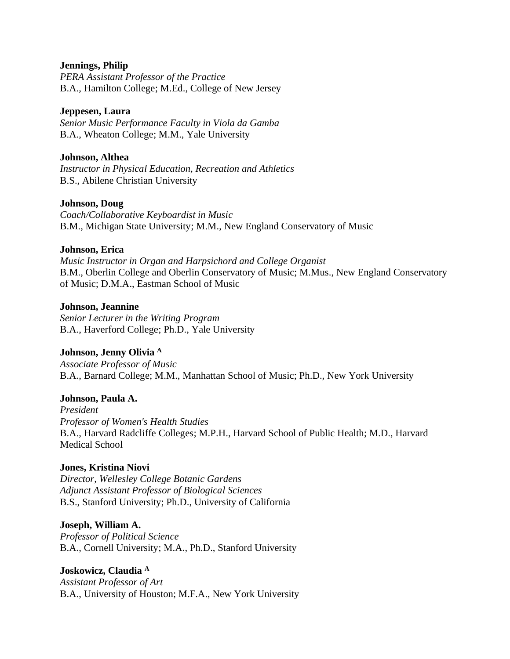#### **Jennings, Philip**

*PERA Assistant Professor of the Practice* B.A., Hamilton College; M.Ed., College of New Jersey

#### **Jeppesen, Laura**

*Senior Music Performance Faculty in Viola da Gamba* B.A., Wheaton College; M.M., Yale University

### **Johnson, Althea**

*Instructor in Physical Education, Recreation and Athletics* B.S., Abilene Christian University

### **Johnson, Doug**

*Coach/Collaborative Keyboardist in Music* B.M., Michigan State University; M.M., New England Conservatory of Music

#### **Johnson, Erica**

*Music Instructor in Organ and Harpsichord and College Organist* B.M., Oberlin College and Oberlin Conservatory of Music; M.Mus., New England Conservatory of Music; D.M.A., Eastman School of Music

#### **Johnson, Jeannine**

*Senior Lecturer in the Writing Program* B.A., Haverford College; Ph.D., Yale University

# **Johnson, Jenny Olivia <sup>A</sup>**

*Associate Professor of Music* B.A., Barnard College; M.M., Manhattan School of Music; Ph.D., New York University

# **Johnson, Paula A.**

*President Professor of Women's Health Studies* B.A., Harvard Radcliffe Colleges; M.P.H., Harvard School of Public Health; M.D., Harvard Medical School

# **Jones, Kristina Niovi**

*Director, Wellesley College Botanic Gardens Adjunct Assistant Professor of Biological Sciences* B.S., Stanford University; Ph.D., University of California

#### **Joseph, William A.**

*Professor of Political Science* B.A., Cornell University; M.A., Ph.D., Stanford University

#### **Joskowicz, Claudia <sup>A</sup>**

*Assistant Professor of Art*  B.A., University of Houston; M.F.A., New York University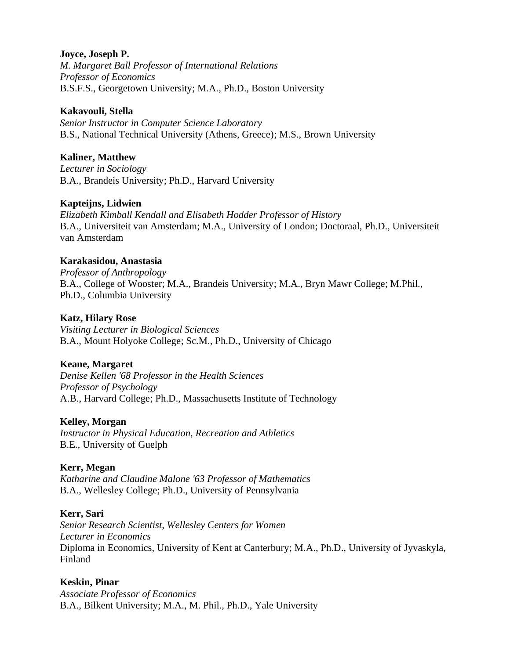### **Joyce, Joseph P.**

*M. Margaret Ball Professor of International Relations Professor of Economics* B.S.F.S., Georgetown University; M.A., Ph.D., Boston University

#### **Kakavouli, Stella**

*Senior Instructor in Computer Science Laboratory* B.S., National Technical University (Athens, Greece); M.S., Brown University

### **Kaliner, Matthew**

*Lecturer in Sociology* B.A., Brandeis University; Ph.D., Harvard University

### **Kapteijns, Lidwien**

*Elizabeth Kimball Kendall and Elisabeth Hodder Professor of History* B.A., Universiteit van Amsterdam; M.A., University of London; Doctoraal, Ph.D., Universiteit van Amsterdam

### **Karakasidou, Anastasia**

*Professor of Anthropology* B.A., College of Wooster; M.A., Brandeis University; M.A., Bryn Mawr College; M.Phil., Ph.D., Columbia University

#### **Katz, Hilary Rose**

*Visiting Lecturer in Biological Sciences* B.A., Mount Holyoke College; Sc.M., Ph.D., University of Chicago

# **Keane, Margaret**

*Denise Kellen '68 Professor in the Health Sciences Professor of Psychology* A.B., Harvard College; Ph.D., Massachusetts Institute of Technology

#### **Kelley, Morgan**

*Instructor in Physical Education, Recreation and Athletics* B.E., University of Guelph

#### **Kerr, Megan**

*Katharine and Claudine Malone '63 Professor of Mathematics* B.A., Wellesley College; Ph.D., University of Pennsylvania

#### **Kerr, Sari**

*Senior Research Scientist, Wellesley Centers for Women Lecturer in Economics* Diploma in Economics, University of Kent at Canterbury; M.A., Ph.D., University of Jyvaskyla, Finland

#### **Keskin, Pinar**

*Associate Professor of Economics* B.A., Bilkent University; M.A., M. Phil., Ph.D., Yale University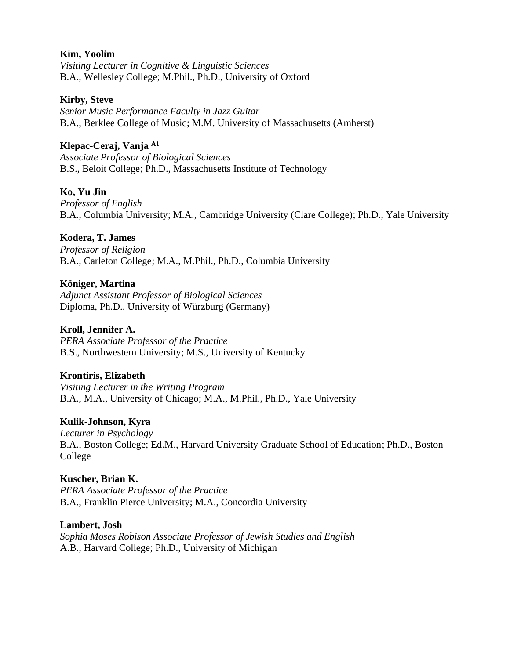#### **Kim, Yoolim**

*Visiting Lecturer in Cognitive & Linguistic Sciences* B.A., Wellesley College; M.Phil., Ph.D., University of Oxford

#### **Kirby, Steve**

*Senior Music Performance Faculty in Jazz Guitar* B.A., Berklee College of Music; M.M. University of Massachusetts (Amherst)

#### **Klepac-Ceraj, Vanja A1**

*Associate Professor of Biological Sciences* B.S., Beloit College; Ph.D., Massachusetts Institute of Technology

### **Ko, Yu Jin**

*Professor of English* B.A., Columbia University; M.A., Cambridge University (Clare College); Ph.D., Yale University

### **Kodera, T. James**

*Professor of Religion* B.A., Carleton College; M.A., M.Phil., Ph.D., Columbia University

### **Königer, Martina**

*Adjunct Assistant Professor of Biological Sciences* Diploma, Ph.D., University of Würzburg (Germany)

#### **Kroll, Jennifer A.**

*PERA Associate Professor of the Practice* B.S., Northwestern University; M.S., University of Kentucky

#### **Krontiris, Elizabeth**

*Visiting Lecturer in the Writing Program* B.A., M.A., University of Chicago; M.A., M.Phil., Ph.D., Yale University

#### **Kulik-Johnson, Kyra**

*Lecturer in Psychology* B.A., Boston College; Ed.M., Harvard University Graduate School of Education; Ph.D., Boston College

# **Kuscher, Brian K.**

*PERA Associate Professor of the Practice* B.A., Franklin Pierce University; M.A., Concordia University

#### **Lambert, Josh**

*Sophia Moses Robison Associate Professor of Jewish Studies and English* A.B., Harvard College; Ph.D., University of Michigan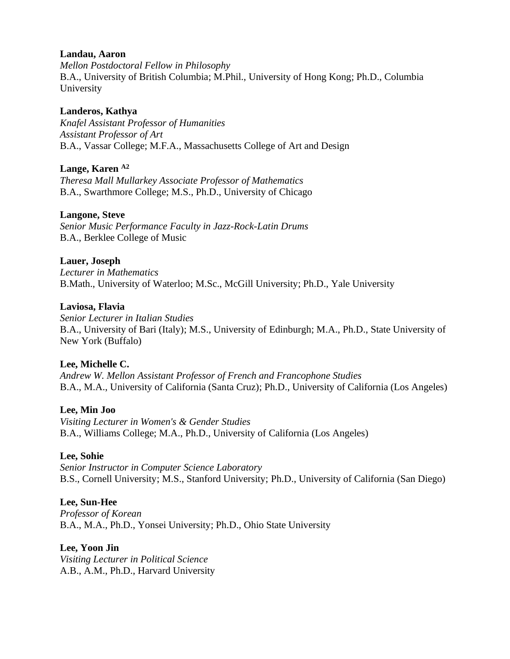### **Landau, Aaron**

*Mellon Postdoctoral Fellow in Philosophy* B.A., University of British Columbia; M.Phil., University of Hong Kong; Ph.D., Columbia University

# **Landeros, Kathya**

*Knafel Assistant Professor of Humanities Assistant Professor of Art* B.A., Vassar College; M.F.A., Massachusetts College of Art and Design

# **Lange, Karen A2**

*Theresa Mall Mullarkey Associate Professor of Mathematics* B.A., Swarthmore College; M.S., Ph.D., University of Chicago

### **Langone, Steve**

*Senior Music Performance Faculty in Jazz-Rock-Latin Drums* B.A., Berklee College of Music

### **Lauer, Joseph**

*Lecturer in Mathematics* B.Math., University of Waterloo; M.Sc., McGill University; Ph.D., Yale University

#### **Laviosa, Flavia**

*Senior Lecturer in Italian Studies* B.A., University of Bari (Italy); M.S., University of Edinburgh; M.A., Ph.D., State University of New York (Buffalo)

# **Lee, Michelle C.**

*Andrew W. Mellon Assistant Professor of French and Francophone Studies* B.A., M.A., University of California (Santa Cruz); Ph.D., University of California (Los Angeles)

#### **Lee, Min Joo**

*Visiting Lecturer in Women's & Gender Studies* B.A., Williams College; M.A., Ph.D., University of California (Los Angeles)

#### **Lee, Sohie**

*Senior Instructor in Computer Science Laboratory* B.S., Cornell University; M.S., Stanford University; Ph.D., University of California (San Diego)

# **Lee, Sun-Hee**

*Professor of Korean* B.A., M.A., Ph.D., Yonsei University; Ph.D., Ohio State University

#### **Lee, Yoon Jin**

*Visiting Lecturer in Political Science* A.B., A.M., Ph.D., Harvard University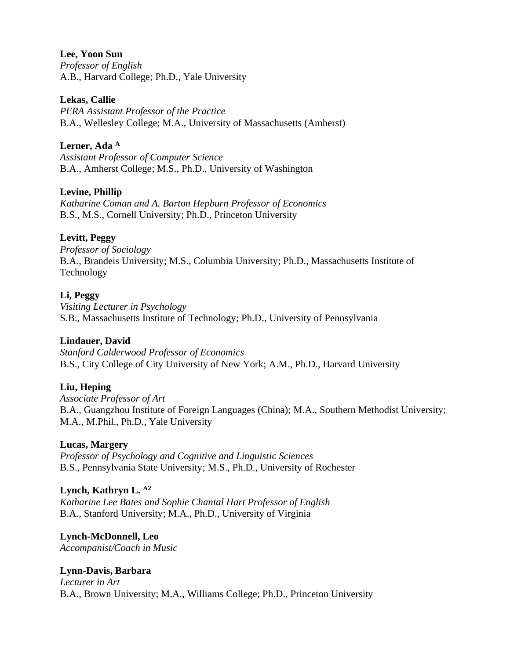**Lee, Yoon Sun** *Professor of English* A.B., Harvard College; Ph.D., Yale University

**Lekas, Callie**

*PERA Assistant Professor of the Practice* B.A., Wellesley College; M.A., University of Massachusetts (Amherst)

**Lerner, Ada <sup>A</sup>** *Assistant Professor of Computer Science* B.A., Amherst College; M.S., Ph.D., University of Washington

# **Levine, Phillip**

*Katharine Coman and A. Barton Hepburn Professor of Economics* B.S., M.S., Cornell University; Ph.D., Princeton University

### **Levitt, Peggy**

*Professor of Sociology* B.A., Brandeis University; M.S., Columbia University; Ph.D., Massachusetts Institute of Technology

### **Li, Peggy**

*Visiting Lecturer in Psychology* S.B., Massachusetts Institute of Technology; Ph.D., University of Pennsylvania

#### **Lindauer, David**

*Stanford Calderwood Professor of Economics* B.S., City College of City University of New York; A.M., Ph.D., Harvard University

#### **Liu, Heping**

*Associate Professor of Art* B.A., Guangzhou Institute of Foreign Languages (China); M.A., Southern Methodist University; M.A., M.Phil., Ph.D., Yale University

#### **Lucas, Margery**

*Professor of Psychology and Cognitive and Linguistic Sciences* B.S., Pennsylvania State University; M.S., Ph.D., University of Rochester

#### **Lynch, Kathryn L. A2**

*Katharine Lee Bates and Sophie Chantal Hart Professor of English* B.A., Stanford University; M.A., Ph.D., University of Virginia

#### **Lynch-McDonnell, Leo**

*Accompanist/Coach in Music*

# **Lynn-Davis, Barbara**

*Lecturer in Art* B.A., Brown University; M.A., Williams College; Ph.D., Princeton University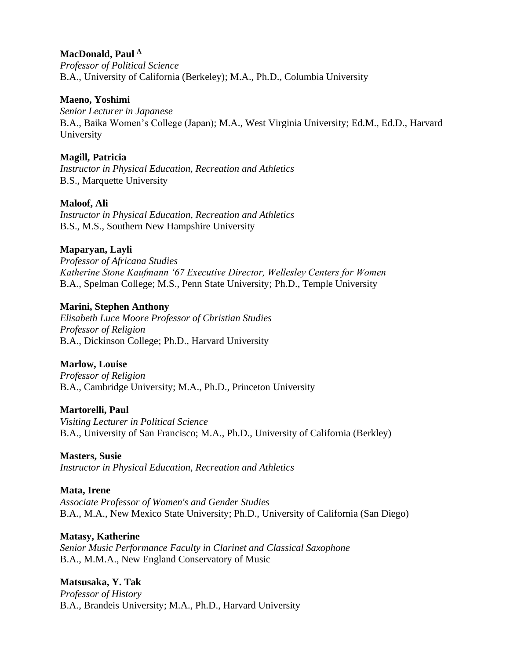# **MacDonald, Paul <sup>A</sup>**

*Professor of Political Science* B.A., University of California (Berkeley); M.A., Ph.D., Columbia University

#### **Maeno, Yoshimi**

*Senior Lecturer in Japanese* B.A., Baika Women's College (Japan); M.A., West Virginia University; Ed.M., Ed.D., Harvard University

### **Magill, Patricia**

*Instructor in Physical Education, Recreation and Athletics* B.S., Marquette University

# **Maloof, Ali**

*Instructor in Physical Education, Recreation and Athletics* B.S., M.S., Southern New Hampshire University

# **Maparyan, Layli**

*Professor of Africana Studies Katherine Stone Kaufmann '67 Executive Director, Wellesley Centers for Women* B.A., Spelman College; M.S., Penn State University; Ph.D., Temple University

### **Marini, Stephen Anthony**

*Elisabeth Luce Moore Professor of Christian Studies Professor of Religion* B.A., Dickinson College; Ph.D., Harvard University

# **Marlow, Louise**

*Professor of Religion* B.A., Cambridge University; M.A., Ph.D., Princeton University

#### **Martorelli, Paul**

*Visiting Lecturer in Political Science* B.A., University of San Francisco; M.A., Ph.D., University of California (Berkley)

#### **Masters, Susie**

*Instructor in Physical Education, Recreation and Athletics*

#### **Mata, Irene**

*Associate Professor of Women's and Gender Studies* B.A., M.A., New Mexico State University; Ph.D., University of California (San Diego)

#### **Matasy, Katherine**

*Senior Music Performance Faculty in Clarinet and Classical Saxophone* B.A., M.M.A., New England Conservatory of Music

#### **Matsusaka, Y. Tak**

*Professor of History* B.A., Brandeis University; M.A., Ph.D., Harvard University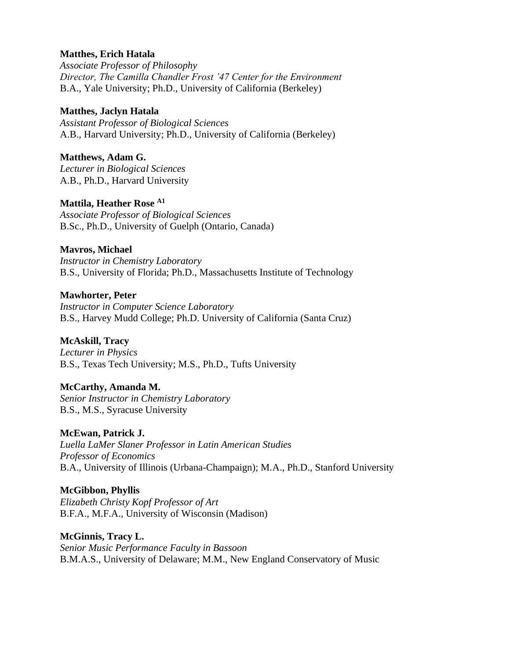### **Matthes, Erich Hatala**

*Associate Professor of Philosophy Director, The Camilla Chandler Frost '47 Center for the Environment*  B.A., Yale University; Ph.D., University of California (Berkeley)

### **Matthes, Jaclyn Hatala**

*Assistant Professor of Biological Sciences* A.B., Harvard University; Ph.D., University of California (Berkeley)

# **Matthews, Adam G.**

*Lecturer in Biological Sciences* A.B., Ph.D., Harvard University

# **Mattila, Heather Rose A1**

*Associate Professor of Biological Sciences* B.Sc., Ph.D., University of Guelph (Ontario, Canada)

# **Mavros, Michael**

*Instructor in Chemistry Laboratory* B.S., University of Florida; Ph.D., Massachusetts Institute of Technology

# **Mawhorter, Peter**

*Instructor in Computer Science Laboratory* B.S., Harvey Mudd College; Ph.D. University of California (Santa Cruz)

# **McAskill, Tracy**

*Lecturer in Physics* B.S., Texas Tech University; M.S., Ph.D., Tufts University

# **McCarthy, Amanda M.**

*Senior Instructor in Chemistry Laboratory* B.S., M.S., Syracuse University

# **McEwan, Patrick J.**

*Luella LaMer Slaner Professor in Latin American Studies Professor of Economics* B.A., University of Illinois (Urbana-Champaign); M.A., Ph.D., Stanford University

# **McGibbon, Phyllis**

*Elizabeth Christy Kopf Professor of Art* B.F.A., M.F.A., University of Wisconsin (Madison)

**McGinnis, Tracy L.** *Senior Music Performance Faculty in Bassoon* B.M.A.S., University of Delaware; M.M., New England Conservatory of Music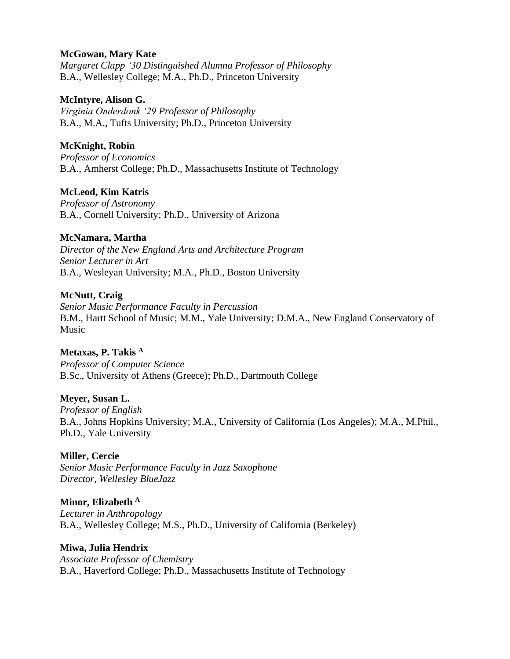### **McGowan, Mary Kate**

*Margaret Clapp '30 Distinguished Alumna Professor of Philosophy* B.A., Wellesley College; M.A., Ph.D., Princeton University

#### **McIntyre, Alison G.**

*Virginia Onderdonk '29 Professor of Philosophy* B.A., M.A., Tufts University; Ph.D., Princeton University

# **McKnight, Robin**

*Professor of Economics* B.A., Amherst College; Ph.D., Massachusetts Institute of Technology

# **McLeod, Kim Katris**

*Professor of Astronomy* B.A., Cornell University; Ph.D., University of Arizona

### **McNamara, Martha**

*Director of the New England Arts and Architecture Program Senior Lecturer in Art* B.A., Wesleyan University; M.A., Ph.D., Boston University

# **McNutt, Craig**

*Senior Music Performance Faculty in Percussion* B.M., Hartt School of Music; M.M., Yale University; D.M.A., New England Conservatory of Music

**Metaxas, P. Takis <sup>A</sup>** *Professor of Computer Science* B.Sc., University of Athens (Greece); Ph.D., Dartmouth College

# **Meyer, Susan L.**

*Professor of English* B.A., Johns Hopkins University; M.A., University of California (Los Angeles); M.A., M.Phil., Ph.D., Yale University

#### **Miller, Cercie**

*Senior Music Performance Faculty in Jazz Saxophone Director, Wellesley BlueJazz*

**Minor, Elizabeth <sup>A</sup>** *Lecturer in Anthropology* B.A., Wellesley College; M.S., Ph.D., University of California (Berkeley)

#### **Miwa, Julia Hendrix** *Associate Professor of Chemistry* B.A., Haverford College; Ph.D., Massachusetts Institute of Technology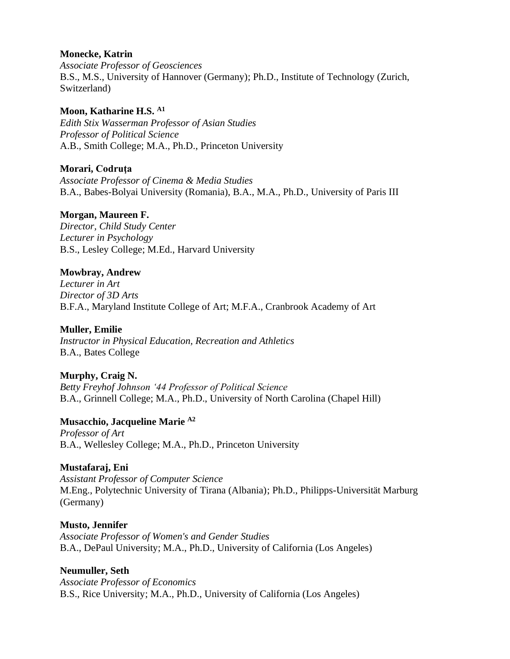#### **Monecke, Katrin**

*Associate Professor of Geosciences* B.S., M.S., University of Hannover (Germany); Ph.D., Institute of Technology (Zurich, Switzerland)

### **Moon, Katharine H.S. A1**

*Edith Stix Wasserman Professor of Asian Studies Professor of Political Science* A.B., Smith College; M.A., Ph.D., Princeton University

# **Morari, Codruţa**

*Associate Professor of Cinema & Media Studies* B.A., Babes-Bolyai University (Romania), B.A., M.A., Ph.D., University of Paris III

# **Morgan, Maureen F.**

*Director, Child Study Center Lecturer in Psychology* B.S., Lesley College; M.Ed., Harvard University

# **Mowbray, Andrew**

*Lecturer in Art Director of 3D Arts* B.F.A., Maryland Institute College of Art; M.F.A., Cranbrook Academy of Art

# **Muller, Emilie**

*Instructor in Physical Education, Recreation and Athletics* B.A., Bates College

# **Murphy, Craig N.**

*Betty Freyhof Johnson '44 Professor of Political Science* B.A., Grinnell College; M.A., Ph.D., University of North Carolina (Chapel Hill)

# **Musacchio, Jacqueline Marie A2**

*Professor of Art* B.A., Wellesley College; M.A., Ph.D., Princeton University

# **Mustafaraj, Eni**

*Assistant Professor of Computer Science* M.Eng., Polytechnic University of Tirana (Albania); Ph.D., Philipps-Universität Marburg (Germany)

# **Musto, Jennifer**

*Associate Professor of Women's and Gender Studies* B.A., DePaul University; M.A., Ph.D., University of California (Los Angeles)

# **Neumuller, Seth**

*Associate Professor of Economics* B.S., Rice University; M.A., Ph.D., University of California (Los Angeles)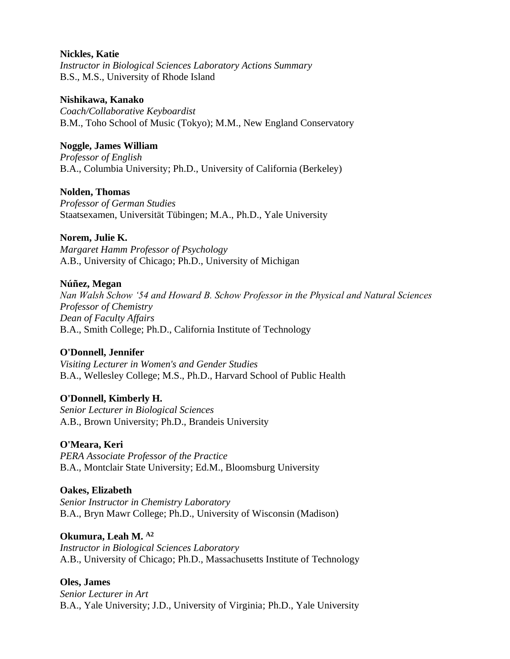#### **Nickles, Katie**

*Instructor in Biological Sciences Laboratory Actions Summary* B.S., M.S., University of Rhode Island

#### **Nishikawa, Kanako**

*Coach/Collaborative Keyboardist* B.M., Toho School of Music (Tokyo); M.M., New England Conservatory

# **Noggle, James William**

*Professor of English* B.A., Columbia University; Ph.D., University of California (Berkeley)

### **Nolden, Thomas**

*Professor of German Studies* Staatsexamen, Universität Tübingen; M.A., Ph.D., Yale University

# **Norem, Julie K.**

*Margaret Hamm Professor of Psychology* A.B., University of Chicago; Ph.D., University of Michigan

### **Núñez, Megan**

*Nan Walsh Schow '54 and Howard B. Schow Professor in the Physical and Natural Sciences Professor of Chemistry Dean of Faculty Affairs* B.A., Smith College; Ph.D., California Institute of Technology

# **O'Donnell, Jennifer**

*Visiting Lecturer in Women's and Gender Studies* B.A., Wellesley College; M.S., Ph.D., Harvard School of Public Health

# **O'Donnell, Kimberly H.**

*Senior Lecturer in Biological Sciences* A.B., Brown University; Ph.D., Brandeis University

# **O'Meara, Keri**

*PERA Associate Professor of the Practice* B.A., Montclair State University; Ed.M., Bloomsburg University

#### **Oakes, Elizabeth**

*Senior Instructor in Chemistry Laboratory* B.A., Bryn Mawr College; Ph.D., University of Wisconsin (Madison)

#### **Okumura, Leah M. A2**

*Instructor in Biological Sciences Laboratory* A.B., University of Chicago; Ph.D., Massachusetts Institute of Technology

# **Oles, James**

*Senior Lecturer in Art* B.A., Yale University; J.D., University of Virginia; Ph.D., Yale University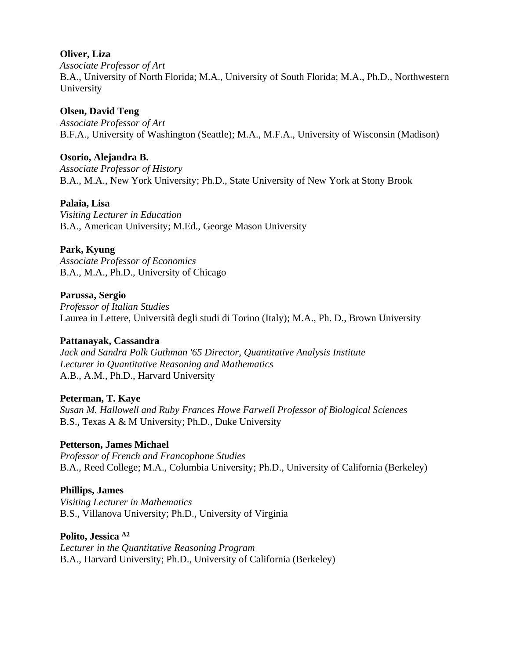### **Oliver, Liza**

*Associate Professor of Art* B.A., University of North Florida; M.A., University of South Florida; M.A., Ph.D., Northwestern University

# **Olsen, David Teng**

*Associate Professor of Art* B.F.A., University of Washington (Seattle); M.A., M.F.A., University of Wisconsin (Madison)

# **Osorio, Alejandra B.**

*Associate Professor of History* B.A., M.A., New York University; Ph.D., State University of New York at Stony Brook

# **Palaia, Lisa**

*Visiting Lecturer in Education* B.A., American University; M.Ed., George Mason University

# **Park, Kyung**

*Associate Professor of Economics* B.A., M.A., Ph.D., University of Chicago

# **Parussa, Sergio**

*Professor of Italian Studies* Laurea in Lettere, Università degli studi di Torino (Italy); M.A., Ph. D., Brown University

# **Pattanayak, Cassandra**

*Jack and Sandra Polk Guthman '65 Director, Quantitative Analysis Institute Lecturer in Quantitative Reasoning and Mathematics*  A.B., A.M., Ph.D., Harvard University

# **Peterman, T. Kaye**

*Susan M. Hallowell and Ruby Frances Howe Farwell Professor of Biological Sciences* B.S., Texas A & M University; Ph.D., Duke University

# **Petterson, James Michael**

*Professor of French and Francophone Studies* B.A., Reed College; M.A., Columbia University; Ph.D., University of California (Berkeley)

# **Phillips, James**

*Visiting Lecturer in Mathematics* B.S., Villanova University; Ph.D., University of Virginia

# **Polito, Jessica A2**

*Lecturer in the Quantitative Reasoning Program* B.A., Harvard University; Ph.D., University of California (Berkeley)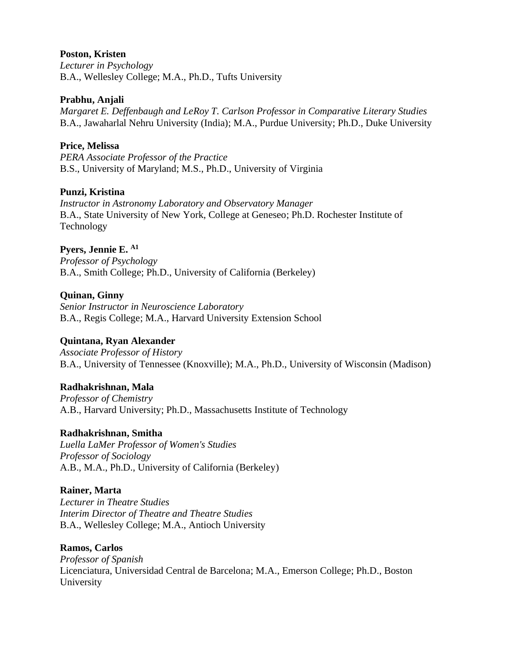#### **Poston, Kristen**

*Lecturer in Psychology* B.A., Wellesley College; M.A., Ph.D., Tufts University

#### **Prabhu, Anjali**

*Margaret E. Deffenbaugh and LeRoy T. Carlson Professor in Comparative Literary Studies* B.A., Jawaharlal Nehru University (India); M.A., Purdue University; Ph.D., Duke University

# **Price, Melissa**

*PERA Associate Professor of the Practice* B.S., University of Maryland; M.S., Ph.D., University of Virginia

# **Punzi, Kristina**

*Instructor in Astronomy Laboratory and Observatory Manager* B.A., State University of New York, College at Geneseo; Ph.D. Rochester Institute of Technology

### **Pyers, Jennie E. A1**

*Professor of Psychology* B.A., Smith College; Ph.D., University of California (Berkeley)

### **Quinan, Ginny**

*Senior Instructor in Neuroscience Laboratory* B.A., Regis College; M.A., Harvard University Extension School

# **Quintana, Ryan Alexander**

*Associate Professor of History* B.A., University of Tennessee (Knoxville); M.A., Ph.D., University of Wisconsin (Madison)

# **Radhakrishnan, Mala**

*Professor of Chemistry* A.B., Harvard University; Ph.D., Massachusetts Institute of Technology

#### **Radhakrishnan, Smitha**

*Luella LaMer Professor of Women's Studies Professor of Sociology* A.B., M.A., Ph.D., University of California (Berkeley)

# **Rainer, Marta**

*Lecturer in Theatre Studies Interim Director of Theatre and Theatre Studies* B.A., Wellesley College; M.A., Antioch University

#### **Ramos, Carlos**

*Professor of Spanish* Licenciatura, Universidad Central de Barcelona; M.A., Emerson College; Ph.D., Boston University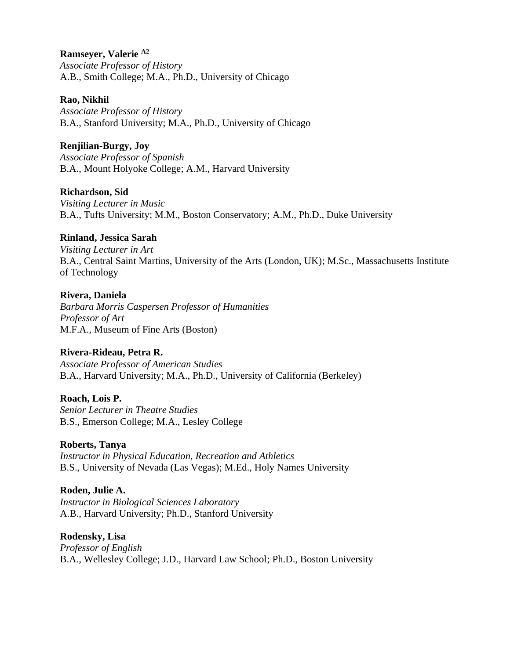# **Ramseyer, Valerie A2**

*Associate Professor of History* A.B., Smith College; M.A., Ph.D., University of Chicago

#### **Rao, Nikhil**

*Associate Professor of History* B.A., Stanford University; M.A., Ph.D., University of Chicago

# **Renjilian-Burgy, Joy**

*Associate Professor of Spanish* B.A., Mount Holyoke College; A.M., Harvard University

# **Richardson, Sid**

*Visiting Lecturer in Music* B.A., Tufts University; M.M., Boston Conservatory; A.M., Ph.D., Duke University

# **Rinland, Jessica Sarah**

*Visiting Lecturer in Art* B.A., Central Saint Martins, University of the Arts (London, UK); M.Sc., Massachusetts Institute of Technology

# **Rivera, Daniela**

*Barbara Morris Caspersen Professor of Humanities Professor of Art* M.F.A., Museum of Fine Arts (Boston)

# **Rivera-Rideau, Petra R.**

*Associate Professor of American Studies* B.A., Harvard University; M.A., Ph.D., University of California (Berkeley)

# **Roach, Lois P.**

*Senior Lecturer in Theatre Studies* B.S., Emerson College; M.A., Lesley College

# **Roberts, Tanya**

*Instructor in Physical Education, Recreation and Athletics* B.S., University of Nevada (Las Vegas); M.Ed., Holy Names University

# **Roden, Julie A.**

*Instructor in Biological Sciences Laboratory* A.B., Harvard University; Ph.D., Stanford University

**Rodensky, Lisa** *Professor of English* B.A., Wellesley College; J.D., Harvard Law School; Ph.D., Boston University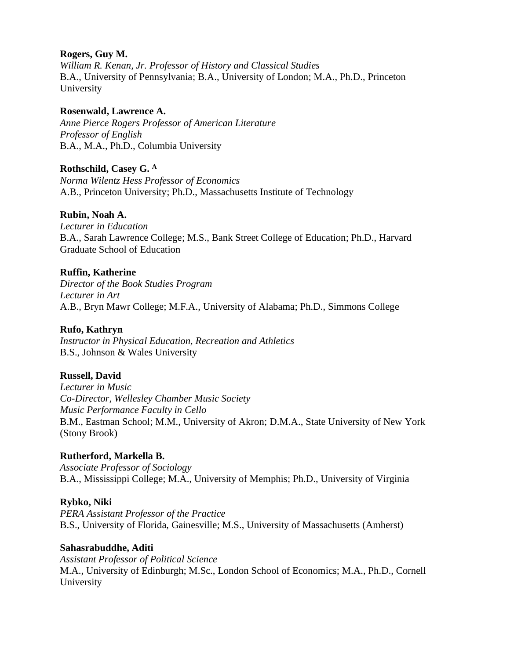# **Rogers, Guy M.**

*William R. Kenan, Jr. Professor of History and Classical Studies* B.A., University of Pennsylvania; B.A., University of London; M.A., Ph.D., Princeton University

### **Rosenwald, Lawrence A.**

*Anne Pierce Rogers Professor of American Literature Professor of English* B.A., M.A., Ph.D., Columbia University

# **Rothschild, Casey G. <sup>A</sup>**

*Norma Wilentz Hess Professor of Economics* A.B., Princeton University; Ph.D., Massachusetts Institute of Technology

### **Rubin, Noah A.**

*Lecturer in Education* B.A., Sarah Lawrence College; M.S., Bank Street College of Education; Ph.D., Harvard Graduate School of Education

# **Ruffin, Katherine**

*Director of the Book Studies Program Lecturer in Art* A.B., Bryn Mawr College; M.F.A., University of Alabama; Ph.D., Simmons College

### **Rufo, Kathryn**

*Instructor in Physical Education, Recreation and Athletics* B.S., Johnson & Wales University

# **Russell, David**

*Lecturer in Music Co-Director, Wellesley Chamber Music Society Music Performance Faculty in Cello* B.M., Eastman School; M.M., University of Akron; D.M.A., State University of New York (Stony Brook)

# **Rutherford, Markella B.**

*Associate Professor of Sociology* B.A., Mississippi College; M.A., University of Memphis; Ph.D., University of Virginia

#### **Rybko, Niki**

*PERA Assistant Professor of the Practice* B.S., University of Florida, Gainesville; M.S., University of Massachusetts (Amherst)

#### **Sahasrabuddhe, Aditi**

*Assistant Professor of Political Science* M.A., University of Edinburgh; M.Sc., London School of Economics; M.A., Ph.D., Cornell University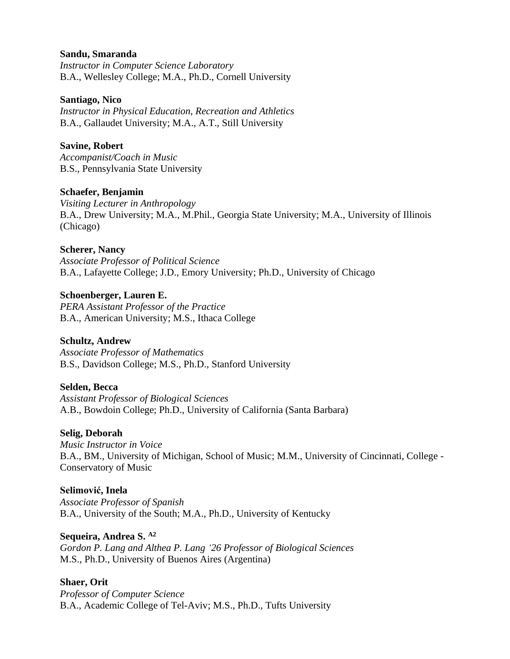#### **Sandu, Smaranda**

*Instructor in Computer Science Laboratory* B.A., Wellesley College; M.A., Ph.D., Cornell University

#### **Santiago, Nico**

*Instructor in Physical Education, Recreation and Athletics* B.A., Gallaudet University; M.A., A.T., Still University

### **Savine, Robert**

*Accompanist/Coach in Music* B.S., Pennsylvania State University

#### **Schaefer, Benjamin**

*Visiting Lecturer in Anthropology* B.A., Drew University; M.A., M.Phil., Georgia State University; M.A., University of Illinois (Chicago)

#### **Scherer, Nancy**

*Associate Professor of Political Science*  B.A., Lafayette College; J.D., Emory University; Ph.D., University of Chicago

### **Schoenberger, Lauren E.**

*PERA Assistant Professor of the Practice* B.A., American University; M.S., Ithaca College

# **Schultz, Andrew**

*Associate Professor of Mathematics* B.S., Davidson College; M.S., Ph.D., Stanford University

#### **Selden, Becca**

*Assistant Professor of Biological Sciences* A.B., Bowdoin College; Ph.D., University of California (Santa Barbara)

#### **Selig, Deborah**

*Music Instructor in Voice* B.A., BM., University of Michigan, School of Music; M.M., University of Cincinnati, College - Conservatory of Music

# **Selimović, Inela**

*Associate Professor of Spanish* B.A., University of the South; M.A., Ph.D., University of Kentucky

#### **Sequeira, Andrea S. A2**

*Gordon P. Lang and Althea P. Lang '26 Professor of Biological Sciences* M.S., Ph.D., University of Buenos Aires (Argentina)

# **Shaer, Orit**

*Professor of Computer Science* B.A., Academic College of Tel-Aviv; M.S., Ph.D., Tufts University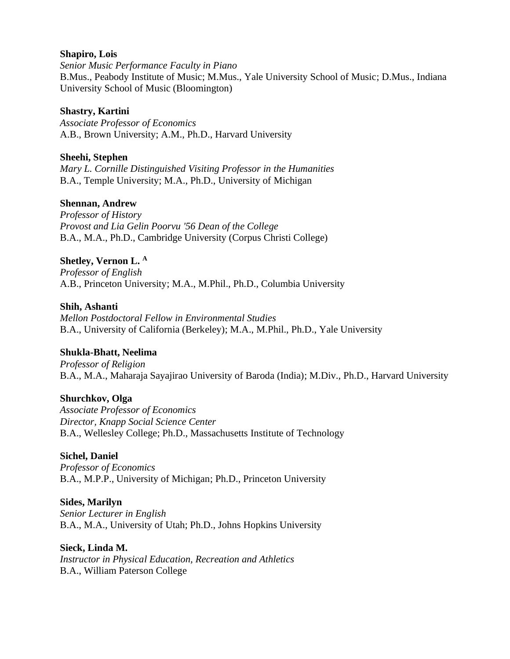#### **Shapiro, Lois**

*Senior Music Performance Faculty in Piano* B.Mus., Peabody Institute of Music; M.Mus., Yale University School of Music; D.Mus., Indiana University School of Music (Bloomington)

### **Shastry, Kartini**

*Associate Professor of Economics* A.B., Brown University; A.M., Ph.D., Harvard University

#### **Sheehi, Stephen**

*Mary L. Cornille Distinguished Visiting Professor in the Humanities* B.A., Temple University; M.A., Ph.D., University of Michigan

### **Shennan, Andrew**

*Professor of History Provost and Lia Gelin Poorvu '56 Dean of the College* B.A., M.A., Ph.D., Cambridge University (Corpus Christi College)

### **Shetley, Vernon L. <sup>A</sup>**

*Professor of English* A.B., Princeton University; M.A., M.Phil., Ph.D., Columbia University

#### **Shih, Ashanti**

*Mellon Postdoctoral Fellow in Environmental Studies* B.A., University of California (Berkeley); M.A., M.Phil., Ph.D., Yale University

# **Shukla-Bhatt, Neelima**

*Professor of Religion* B.A., M.A., Maharaja Sayajirao University of Baroda (India); M.Div., Ph.D., Harvard University

#### **Shurchkov, Olga**

*Associate Professor of Economics Director, Knapp Social Science Center* B.A., Wellesley College; Ph.D., Massachusetts Institute of Technology

#### **Sichel, Daniel**

*Professor of Economics* B.A., M.P.P., University of Michigan; Ph.D., Princeton University

#### **Sides, Marilyn**

*Senior Lecturer in English* B.A., M.A., University of Utah; Ph.D., Johns Hopkins University

# **Sieck, Linda M.**

*Instructor in Physical Education, Recreation and Athletics* B.A., William Paterson College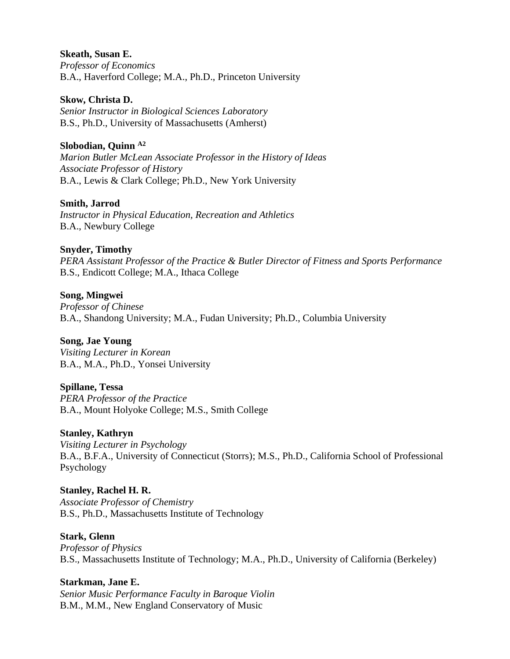#### **Skeath, Susan E.**

*Professor of Economics* B.A., Haverford College; M.A., Ph.D., Princeton University

#### **Skow, Christa D.**

*Senior Instructor in Biological Sciences Laboratory* B.S., Ph.D., University of Massachusetts (Amherst)

# **Slobodian, Quinn A2**

*Marion Butler McLean Associate Professor in the History of Ideas Associate Professor of History* B.A., Lewis & Clark College; Ph.D., New York University

# **Smith, Jarrod**

*Instructor in Physical Education, Recreation and Athletics* B.A., Newbury College

# **Snyder, Timothy**

*PERA Assistant Professor of the Practice & Butler Director of Fitness and Sports Performance* B.S., Endicott College; M.A., Ithaca College

# **Song, Mingwei**

*Professor of Chinese* B.A., Shandong University; M.A., Fudan University; Ph.D., Columbia University

# **Song, Jae Young**

*Visiting Lecturer in Korean* B.A., M.A., Ph.D., Yonsei University

# **Spillane, Tessa**

*PERA Professor of the Practice* B.A., Mount Holyoke College; M.S., Smith College

# **Stanley, Kathryn**

*Visiting Lecturer in Psychology* B.A., B.F.A., University of Connecticut (Storrs); M.S., Ph.D., California School of Professional Psychology

# **Stanley, Rachel H. R.**

*Associate Professor of Chemistry* B.S., Ph.D., Massachusetts Institute of Technology

# **Stark, Glenn**

*Professor of Physics* B.S., Massachusetts Institute of Technology; M.A., Ph.D., University of California (Berkeley)

# **Starkman, Jane E.**

*Senior Music Performance Faculty in Baroque Violin* B.M., M.M., New England Conservatory of Music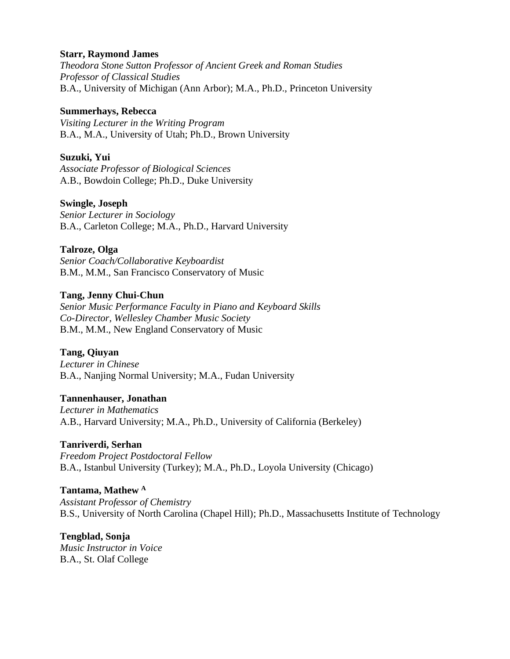#### **Starr, Raymond James**

*Theodora Stone Sutton Professor of Ancient Greek and Roman Studies Professor of Classical Studies* B.A., University of Michigan (Ann Arbor); M.A., Ph.D., Princeton University

#### **Summerhays, Rebecca**

*Visiting Lecturer in the Writing Program* B.A., M.A., University of Utah; Ph.D., Brown University

#### **Suzuki, Yui**

*Associate Professor of Biological Sciences* A.B., Bowdoin College; Ph.D., Duke University

#### **Swingle, Joseph**

*Senior Lecturer in Sociology* B.A., Carleton College; M.A., Ph.D., Harvard University

#### **Talroze, Olga**

*Senior Coach/Collaborative Keyboardist* B.M., M.M., San Francisco Conservatory of Music

#### **Tang, Jenny Chui-Chun**

*Senior Music Performance Faculty in Piano and Keyboard Skills Co-Director, Wellesley Chamber Music Society* B.M., M.M., New England Conservatory of Music

#### **Tang, Qiuyan**

*Lecturer in Chinese* B.A., Nanjing Normal University; M.A., Fudan University

#### **Tannenhauser, Jonathan**

*Lecturer in Mathematics* A.B., Harvard University; M.A., Ph.D., University of California (Berkeley)

#### **Tanriverdi, Serhan**

*Freedom Project Postdoctoral Fellow*  B.A., Istanbul University (Turkey); M.A., Ph.D., Loyola University (Chicago)

#### **Tantama, Mathew <sup>A</sup>**

*Assistant Professor of Chemistry* B.S., University of North Carolina (Chapel Hill); Ph.D., Massachusetts Institute of Technology

#### **Tengblad, Sonja**

*Music Instructor in Voice* B.A., St. Olaf College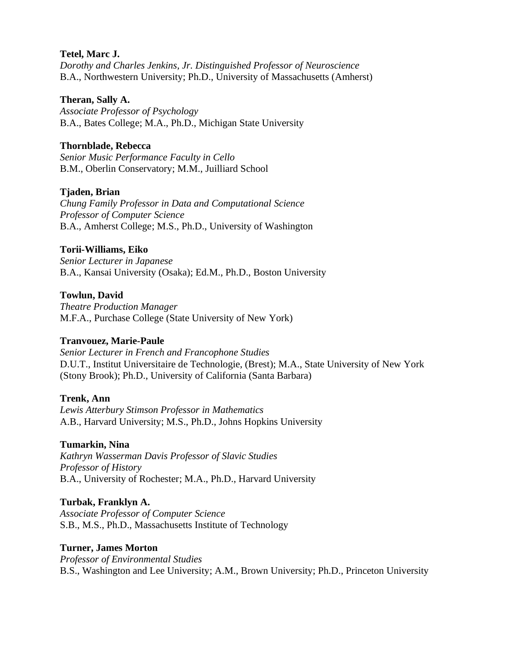#### **Tetel, Marc J.**

*Dorothy and Charles Jenkins, Jr. Distinguished Professor of Neuroscience* B.A., Northwestern University; Ph.D., University of Massachusetts (Amherst)

### **Theran, Sally A.**

*Associate Professor of Psychology* B.A., Bates College; M.A., Ph.D., Michigan State University

# **Thornblade, Rebecca**

*Senior Music Performance Faculty in Cello* B.M., Oberlin Conservatory; M.M., Juilliard School

# **Tjaden, Brian**

*Chung Family Professor in Data and Computational Science Professor of Computer Science* B.A., Amherst College; M.S., Ph.D., University of Washington

# **Torii-Williams, Eiko**

*Senior Lecturer in Japanese* B.A., Kansai University (Osaka); Ed.M., Ph.D., Boston University

# **Towlun, David**

*Theatre Production Manager* M.F.A., Purchase College (State University of New York)

# **Tranvouez, Marie-Paule**

*Senior Lecturer in French and Francophone Studies* D.U.T., Institut Universitaire de Technologie, (Brest); M.A., State University of New York (Stony Brook); Ph.D., University of California (Santa Barbara)

# **Trenk, Ann**

*Lewis Atterbury Stimson Professor in Mathematics* A.B., Harvard University; M.S., Ph.D., Johns Hopkins University

# **Tumarkin, Nina**

*Kathryn Wasserman Davis Professor of Slavic Studies Professor of History* B.A., University of Rochester; M.A., Ph.D., Harvard University

# **Turbak, Franklyn A.**

*Associate Professor of Computer Science* S.B., M.S., Ph.D., Massachusetts Institute of Technology

# **Turner, James Morton**

*Professor of Environmental Studies* B.S., Washington and Lee University; A.M., Brown University; Ph.D., Princeton University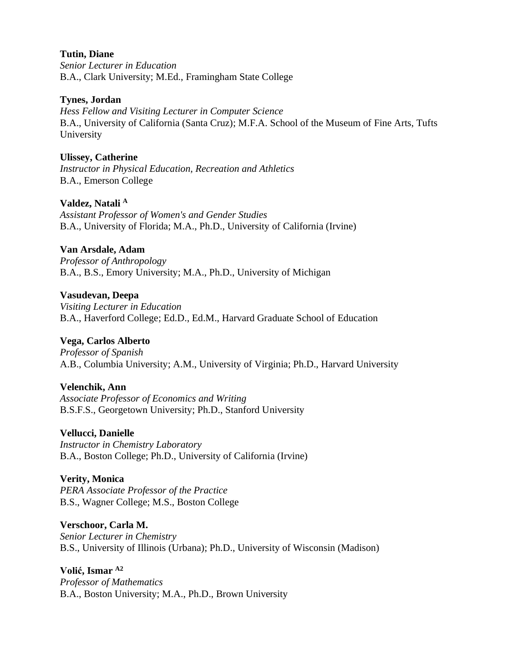#### **Tutin, Diane**

*Senior Lecturer in Education* B.A., Clark University; M.Ed., Framingham State College

### **Tynes, Jordan**

*Hess Fellow and Visiting Lecturer in Computer Science* B.A., University of California (Santa Cruz); M.F.A. School of the Museum of Fine Arts, Tufts University

### **Ulissey, Catherine**

*Instructor in Physical Education, Recreation and Athletics* B.A., Emerson College

# **Valdez, Natali <sup>A</sup>**

*Assistant Professor of Women's and Gender Studies* B.A., University of Florida; M.A., Ph.D., University of California (Irvine)

### **Van Arsdale, Adam**

*Professor of Anthropology* B.A., B.S., Emory University; M.A., Ph.D., University of Michigan

### **Vasudevan, Deepa**

*Visiting Lecturer in Education* B.A., Haverford College; Ed.D., Ed.M., Harvard Graduate School of Education

# **Vega, Carlos Alberto**

*Professor of Spanish* A.B., Columbia University; A.M., University of Virginia; Ph.D., Harvard University

# **Velenchik, Ann**

*Associate Professor of Economics and Writing* B.S.F.S., Georgetown University; Ph.D., Stanford University

# **Vellucci, Danielle**

*Instructor in Chemistry Laboratory* B.A., Boston College; Ph.D., University of California (Irvine)

# **Verity, Monica**

*PERA Associate Professor of the Practice* B.S., Wagner College; M.S., Boston College

#### **Verschoor, Carla M.**

*Senior Lecturer in Chemistry* B.S., University of Illinois (Urbana); Ph.D., University of Wisconsin (Madison)

#### **Volić, Ismar A2**

*Professor of Mathematics* B.A., Boston University; M.A., Ph.D., Brown University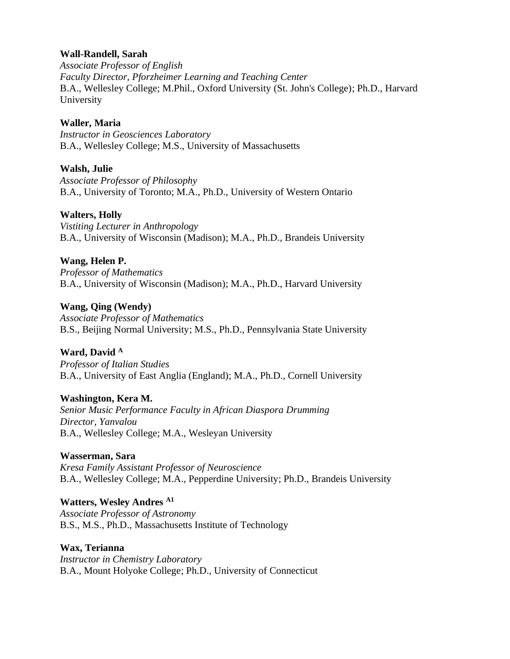### **Wall-Randell, Sarah**

*Associate Professor of English Faculty Director, Pforzheimer Learning and Teaching Center* B.A., Wellesley College; M.Phil., Oxford University (St. John's College); Ph.D., Harvard University

### **Waller, Maria**

*Instructor in Geosciences Laboratory* B.A., Wellesley College; M.S., University of Massachusetts

#### **Walsh, Julie**

*Associate Professor of Philosophy* B.A., University of Toronto; M.A., Ph.D., University of Western Ontario

#### **Walters, Holly**

*Vistiting Lecturer in Anthropology* B.A., University of Wisconsin (Madison); M.A., Ph.D., Brandeis University

### **Wang, Helen P.**

*Professor of Mathematics* B.A., University of Wisconsin (Madison); M.A., Ph.D., Harvard University

### **Wang, Qing (Wendy)**

*Associate Professor of Mathematics* B.S., Beijing Normal University; M.S., Ph.D., Pennsylvania State University

# **Ward, David <sup>A</sup>**

*Professor of Italian Studies* B.A., University of East Anglia (England); M.A., Ph.D., Cornell University

# **Washington, Kera M.**

*Senior Music Performance Faculty in African Diaspora Drumming Director, Yanvalou* B.A., Wellesley College; M.A., Wesleyan University

#### **Wasserman, Sara**

*Kresa Family Assistant Professor of Neuroscience* B.A., Wellesley College; M.A., Pepperdine University; Ph.D., Brandeis University

# **Watters, Wesley Andres A1**

*Associate Professor of Astronomy* B.S., M.S., Ph.D., Massachusetts Institute of Technology

#### **Wax, Terianna**

*Instructor in Chemistry Laboratory* B.A., Mount Holyoke College; Ph.D., University of Connecticut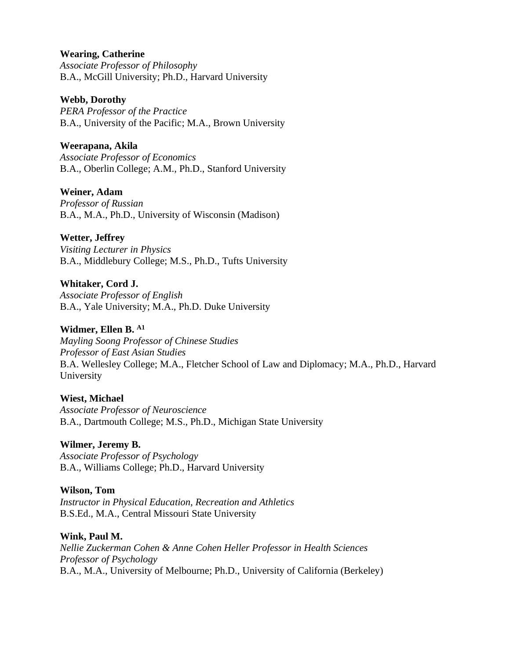### **Wearing, Catherine**

*Associate Professor of Philosophy* B.A., McGill University; Ph.D., Harvard University

#### **Webb, Dorothy**

*PERA Professor of the Practice* B.A., University of the Pacific; M.A., Brown University

### **Weerapana, Akila**

*Associate Professor of Economics* B.A., Oberlin College; A.M., Ph.D., Stanford University

# **Weiner, Adam**

*Professor of Russian* B.A., M.A., Ph.D., University of Wisconsin (Madison)

### **Wetter, Jeffrey**

*Visiting Lecturer in Physics* B.A., Middlebury College; M.S., Ph.D., Tufts University

**Whitaker, Cord J.** *Associate Professor of English* B.A., Yale University; M.A., Ph.D. Duke University

### **Widmer, Ellen B. A1**

*Mayling Soong Professor of Chinese Studies Professor of East Asian Studies* B.A. Wellesley College; M.A., Fletcher School of Law and Diplomacy; M.A., Ph.D., Harvard University

#### **Wiest, Michael**

*Associate Professor of Neuroscience* B.A., Dartmouth College; M.S., Ph.D., Michigan State University

### **Wilmer, Jeremy B.**

*Associate Professor of Psychology* B.A., Williams College; Ph.D., Harvard University

#### **Wilson, Tom**

*Instructor in Physical Education, Recreation and Athletics* B.S.Ed., M.A., Central Missouri State University

#### **Wink, Paul M.**

*Nellie Zuckerman Cohen & Anne Cohen Heller Professor in Health Sciences Professor of Psychology* B.A., M.A., University of Melbourne; Ph.D., University of California (Berkeley)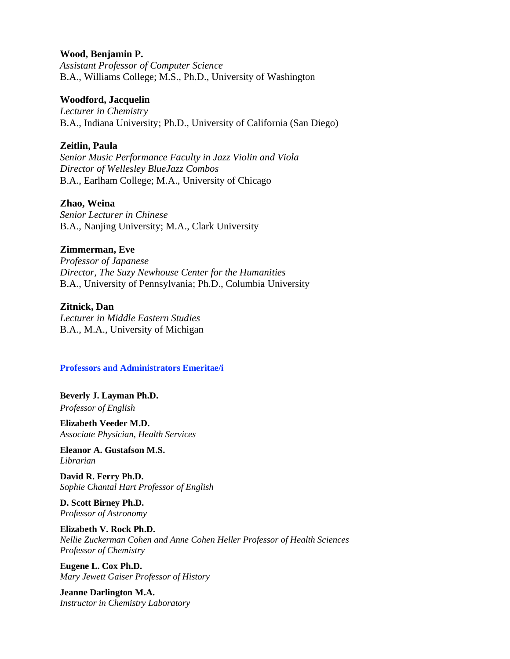#### **Wood, Benjamin P.**

*Assistant Professor of Computer Science* B.A., Williams College; M.S., Ph.D., University of Washington

#### **Woodford, Jacquelin**

*Lecturer in Chemistry* B.A., Indiana University; Ph.D., University of California (San Diego)

#### **Zeitlin, Paula**

*Senior Music Performance Faculty in Jazz Violin and Viola Director of Wellesley BlueJazz Combos*  B.A., Earlham College; M.A., University of Chicago

#### **Zhao, Weina**

*Senior Lecturer in Chinese*  B.A., Nanjing University; M.A., Clark University

#### **Zimmerman, Eve**

*Professor of Japanese Director, The Suzy Newhouse Center for the Humanities* B.A., University of Pennsylvania; Ph.D., Columbia University

#### **Zitnick, Dan**

*Lecturer in Middle Eastern Studies* B.A., M.A., University of Michigan

#### **Professors and Administrators Emeritae/i**

**Beverly J. Layman Ph.D.** *Professor of English*

**Elizabeth Veeder M.D.** *Associate Physician, Health Services*

**Eleanor A. Gustafson M.S.** *Librarian*

**David R. Ferry Ph.D.** *Sophie Chantal Hart Professor of English*

**D. Scott Birney Ph.D.** *Professor of Astronomy*

**Elizabeth V. Rock Ph.D.** *Nellie Zuckerman Cohen and Anne Cohen Heller Professor of Health Sciences Professor of Chemistry*

**Eugene L. Cox Ph.D.** *Mary Jewett Gaiser Professor of History*

**Jeanne Darlington M.A.** *Instructor in Chemistry Laboratory*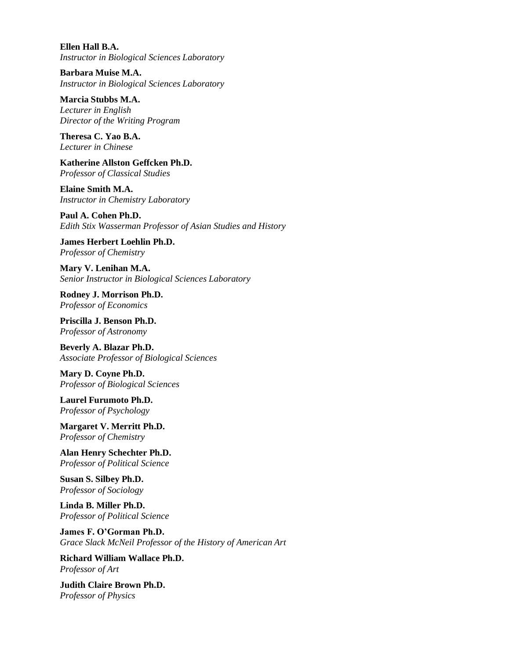**Ellen Hall B.A.** *Instructor in Biological Sciences Laboratory*

**Barbara Muise M.A.** *Instructor in Biological Sciences Laboratory*

**Marcia Stubbs M.A.** *Lecturer in English Director of the Writing Program*

**Theresa C. Yao B.A.** *Lecturer in Chinese*

**Katherine Allston Geffcken Ph.D.** *Professor of Classical Studies*

**Elaine Smith M.A.** *Instructor in Chemistry Laboratory*

**Paul A. Cohen Ph.D.** *Edith Stix Wasserman Professor of Asian Studies and History*

**James Herbert Loehlin Ph.D.** *Professor of Chemistry*

**Mary V. Lenihan M.A.** *Senior Instructor in Biological Sciences Laboratory*

**Rodney J. Morrison Ph.D.** *Professor of Economics*

**Priscilla J. Benson Ph.D.** *Professor of Astronomy*

**Beverly A. Blazar Ph.D.** *Associate Professor of Biological Sciences*

**Mary D. Coyne Ph.D.** *Professor of Biological Sciences*

**Laurel Furumoto Ph.D.** *Professor of Psychology*

**Margaret V. Merritt Ph.D.** *Professor of Chemistry*

**Alan Henry Schechter Ph.D.** *Professor of Political Science*

**Susan S. Silbey Ph.D.** *Professor of Sociology*

**Linda B. Miller Ph.D.** *Professor of Political Science*

**James F. O'Gorman Ph.D.** *Grace Slack McNeil Professor of the History of American Art*

**Richard William Wallace Ph.D.** *Professor of Art*

**Judith Claire Brown Ph.D.** *Professor of Physics*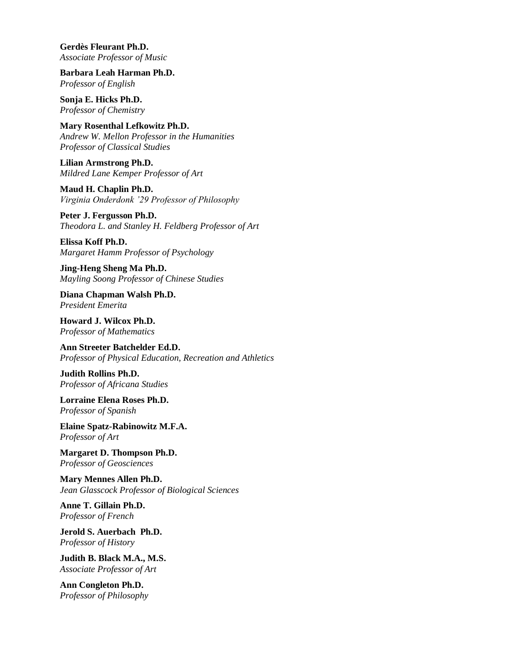**Gerdès Fleurant Ph.D.** *Associate Professor of Music*

**Barbara Leah Harman Ph.D.** *Professor of English*

**Sonja E. Hicks Ph.D.** *Professor of Chemistry*

**Mary Rosenthal Lefkowitz Ph.D.** *Andrew W. Mellon Professor in the Humanities Professor of Classical Studies*

**Lilian Armstrong Ph.D.** *Mildred Lane Kemper Professor of Art*

**Maud H. Chaplin Ph.D.** *Virginia Onderdonk '29 Professor of Philosophy*

**Peter J. Fergusson Ph.D.** *Theodora L. and Stanley H. Feldberg Professor of Art*

**Elissa Koff Ph.D.** *Margaret Hamm Professor of Psychology*

**Jing-Heng Sheng Ma Ph.D.** *Mayling Soong Professor of Chinese Studies*

**Diana Chapman Walsh Ph.D.** *President Emerita*

**Howard J. Wilcox Ph.D.** *Professor of Mathematics*

**Ann Streeter Batchelder Ed.D.** *Professor of Physical Education, Recreation and Athletics*

**Judith Rollins Ph.D.** *Professor of Africana Studies*

**Lorraine Elena Roses Ph.D.** *Professor of Spanish*

**Elaine Spatz-Rabinowitz M.F.A.** *Professor of Art*

**Margaret D. Thompson Ph.D.** *Professor of Geosciences*

**Mary Mennes Allen Ph.D.** *Jean Glasscock Professor of Biological Sciences*

**Anne T. Gillain Ph.D.** *Professor of French*

**Jerold S. Auerbach Ph.D.** *Professor of History*

**Judith B. Black M.A., M.S.** *Associate Professor of Art*

**Ann Congleton Ph.D.** *Professor of Philosophy*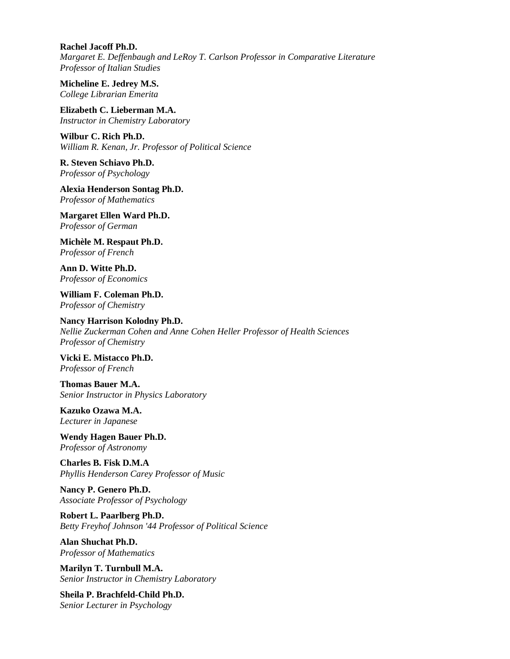**Rachel Jacoff Ph.D.** *Margaret E. Deffenbaugh and LeRoy T. Carlson Professor in Comparative Literature Professor of Italian Studies*

**Micheline E. Jedrey M.S.** *College Librarian Emerita*

**Elizabeth C. Lieberman M.A.** *Instructor in Chemistry Laboratory*

**Wilbur C. Rich Ph.D.** *William R. Kenan, Jr. Professor of Political Science*

**R. Steven Schiavo Ph.D.** *Professor of Psychology*

**Alexia Henderson Sontag Ph.D.** *Professor of Mathematics*

**Margaret Ellen Ward Ph.D.** *Professor of German*

**Michèle M. Respaut Ph.D.** *Professor of French*

**Ann D. Witte Ph.D.** *Professor of Economics*

**William F. Coleman Ph.D.** *Professor of Chemistry*

**Nancy Harrison Kolodny Ph.D.** *Nellie Zuckerman Cohen and Anne Cohen Heller Professor of Health Sciences Professor of Chemistry*

**Vicki E. Mistacco Ph.D.** *Professor of French*

**Thomas Bauer M.A.** *Senior Instructor in Physics Laboratory*

**Kazuko Ozawa M.A.** *Lecturer in Japanese* 

**Wendy Hagen Bauer Ph.D.** *Professor of Astronomy*

**Charles B. Fisk D.M.A** *Phyllis Henderson Carey Professor of Music*

**Nancy P. Genero Ph.D.** *Associate Professor of Psychology*

**Robert L. Paarlberg Ph.D.** *Betty Freyhof Johnson '44 Professor of Political Science*

**Alan Shuchat Ph.D.** *Professor of Mathematics*

**Marilyn T. Turnbull M.A.** *Senior Instructor in Chemistry Laboratory*

**Sheila P. Brachfeld-Child Ph.D.** *Senior Lecturer in Psychology*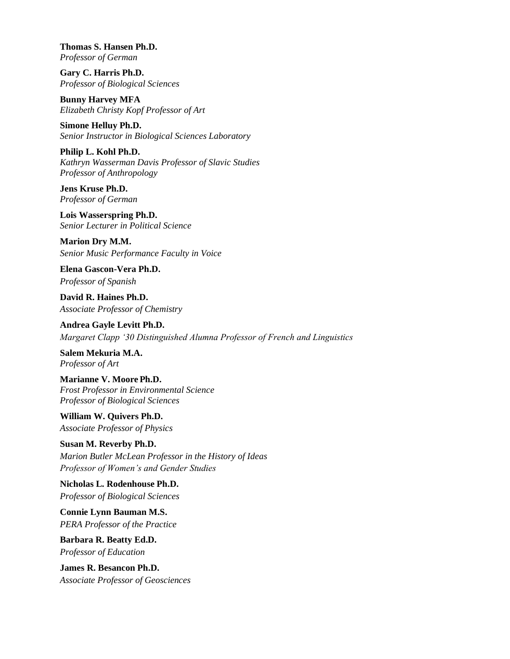**Thomas S. Hansen Ph.D.** *Professor of German*

**Gary C. Harris Ph.D.** *Professor of Biological Sciences*

**Bunny Harvey MFA** *Elizabeth Christy Kopf Professor of Art*

**Simone Helluy Ph.D.** *Senior Instructor in Biological Sciences Laboratory*

**Philip L. Kohl Ph.D.** *Kathryn Wasserman Davis Professor of Slavic Studies Professor of Anthropology*

**Jens Kruse Ph.D.** *Professor of German*

**Lois Wasserspring Ph.D.** *Senior Lecturer in Political Science*

**Marion Dry M.M.** *Senior Music Performance Faculty in Voice* 

**Elena Gascon-Vera Ph.D.** *Professor of Spanish*

**David R. Haines Ph.D.** *Associate Professor of Chemistry*

**Andrea Gayle Levitt Ph.D.** *Margaret Clapp '30 Distinguished Alumna Professor of French and Linguistics*

**Salem Mekuria M.A.** *Professor of Art*

**Marianne V. Moore Ph.D.** *Frost Professor in Environmental Science Professor of Biological Sciences*

**William W. Quivers Ph.D.** *Associate Professor of Physics*

**Susan M. Reverby Ph.D.** *Marion Butler McLean Professor in the History of Ideas Professor of Women's and Gender Studies*

**Nicholas L. Rodenhouse Ph.D.** *Professor of Biological Sciences*

**Connie Lynn Bauman M.S.** *PERA Professor of the Practice*

**Barbara R. Beatty Ed.D.** *Professor of Education*

**James R. Besancon Ph.D.** *Associate Professor of Geosciences*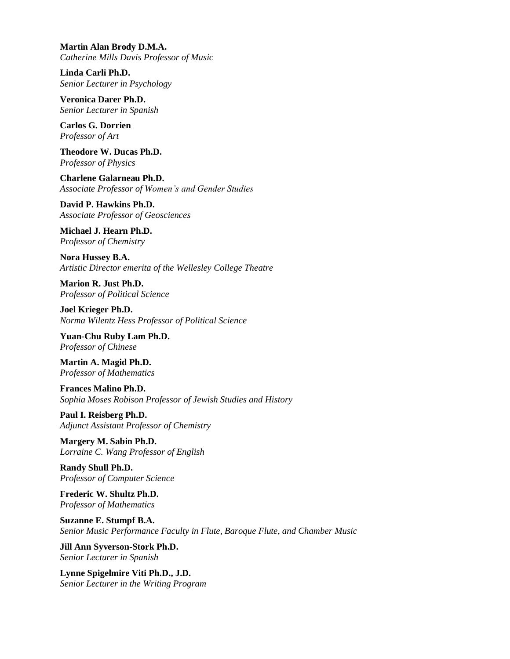**Martin Alan Brody D.M.A.** *Catherine Mills Davis Professor of Music*

**Linda Carli Ph.D.** *Senior Lecturer in Psychology*

**Veronica Darer Ph.D.** *Senior Lecturer in Spanish*

**Carlos G. Dorrien** *Professor of Art*

**Theodore W. Ducas Ph.D.** *Professor of Physics*

**Charlene Galarneau Ph.D.** *Associate Professor of Women's and Gender Studies*

**David P. Hawkins Ph.D.** *Associate Professor of Geosciences*

**Michael J. Hearn Ph.D.** *Professor of Chemistry*

**Nora Hussey B.A.** *Artistic Director emerita of the Wellesley College Theatre*

**Marion R. Just Ph.D.** *Professor of Political Science*

**Joel Krieger Ph.D.** *Norma Wilentz Hess Professor of Political Science*

**Yuan-Chu Ruby Lam Ph.D.** *Professor of Chinese*

**Martin A. Magid Ph.D.** *Professor of Mathematics*

**Frances Malino Ph.D.** *Sophia Moses Robison Professor of Jewish Studies and History*

**Paul I. Reisberg Ph.D.** *Adjunct Assistant Professor of Chemistry*

**Margery M. Sabin Ph.D.** *Lorraine C. Wang Professor of English*

**Randy Shull Ph.D.** *Professor of Computer Science*

**Frederic W. Shultz Ph.D.** *Professor of Mathematics*

**Suzanne E. Stumpf B.A.** *Senior Music Performance Faculty in Flute, Baroque Flute, and Chamber Music*

**Jill Ann Syverson-Stork Ph.D.** *Senior Lecturer in Spanish*

**Lynne Spigelmire Viti Ph.D., J.D.** *Senior Lecturer in the Writing Program*